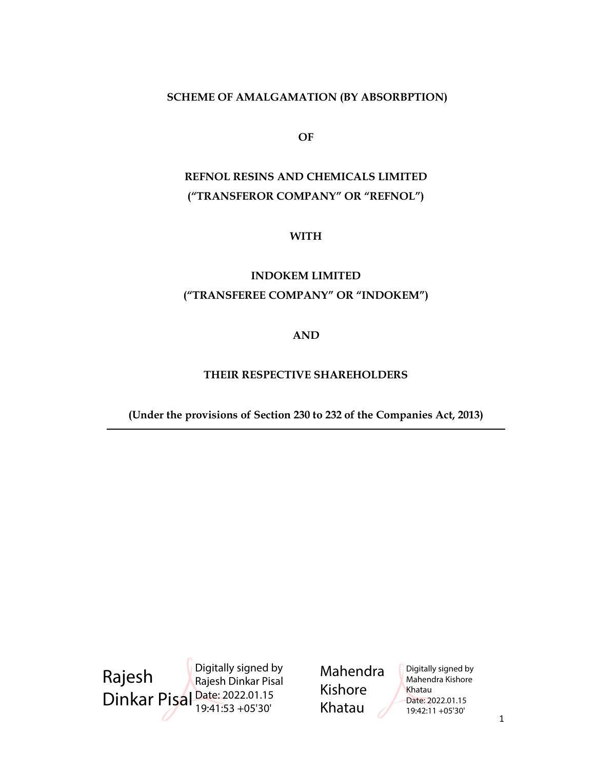# SCHEME OF AMALGAMATION (BY ABSORBPTION)

OF

# REFNOL RESINS AND CHEMICALS LIMITED ("TRANSFEROR COMPANY" OR "REFNOL")

WITH

# INDOKEM LIMITED ("TRANSFEREE COMPANY" OR "INDOKEM")

## AND

# THEIR RESPECTIVE SHAREHOLDERS

(Under the provisions of Section 230 to 232 of the Companies Act, 2013)

 $\sim$  1 Rajesh Dinkar Pisal Date: 2022.01.15 Digitally signed by Rajesh Dinkar Pisal 19:41:53 +05'30'

Mahendra Kishore Khatau

Digitally signed by Mahendra Kishore Khatau Date: 2022.01.15 19:42:11 +05'30'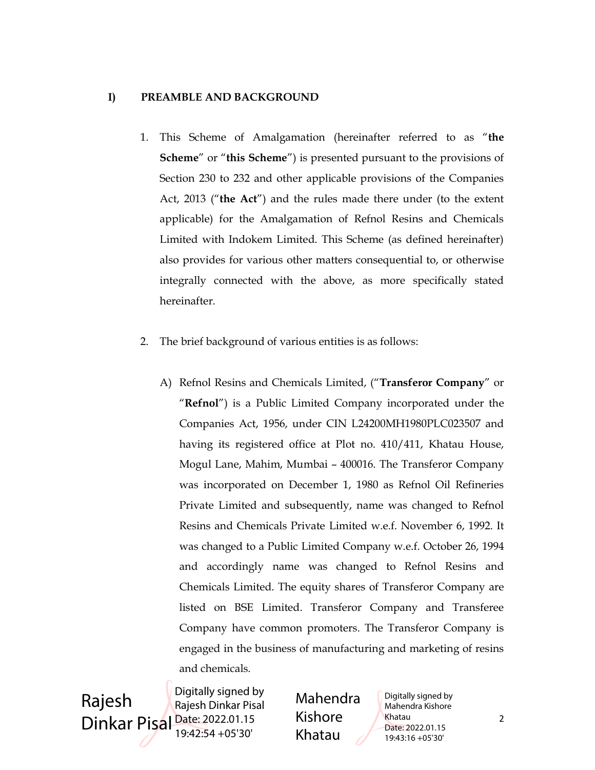## I) PREAMBLE AND BACKGROUND

- 1. This Scheme of Amalgamation (hereinafter referred to as "the Scheme" or "this Scheme") is presented pursuant to the provisions of Section 230 to 232 and other applicable provisions of the Companies Act, 2013 ("the Act") and the rules made there under (to the extent applicable) for the Amalgamation of Refnol Resins and Chemicals Limited with Indokem Limited. This Scheme (as defined hereinafter) also provides for various other matters consequential to, or otherwise integrally connected with the above, as more specifically stated hereinafter.
- 2. The brief background of various entities is as follows:
	- A) Refnol Resins and Chemicals Limited, ("Transferor Company" or "Refnol") is a Public Limited Company incorporated under the Companies Act, 1956, under CIN L24200MH1980PLC023507 and having its registered office at Plot no. 410/411, Khatau House, Mogul Lane, Mahim, Mumbai – 400016. The Transferor Company was incorporated on December 1, 1980 as Refnol Oil Refineries Private Limited and subsequently, name was changed to Refnol Resins and Chemicals Private Limited w.e.f. November 6, 1992. It was changed to a Public Limited Company w.e.f. October 26, 1994 and accordingly name was changed to Refnol Resins and Chemicals Limited. The equity shares of Transferor Company are listed on BSE Limited. Transferor Company and Transferee Company have common promoters. The Transferor Company is engaged in the business of manufacturing and marketing of resins and chemicals.

 $Dinkar \text{ Pisal}_{10:42:54,105'20'}$   $Qabsc \text{ Pisal}_{10:42:54,105'20'}$   $Qabsc \text{ Pisal}_{2022.01.15}$   $Qabsc \text{ Pisal}_{2022.01.15}$ Rajesh Digitally signed by Rajesh Dinkar Pisal 19:42:54 +05'30'

Mahendra Kishore Khatau

Digitally signed by Mahendra Kishore Khatau Date: 2022.01.15 19:43:16 +05'30'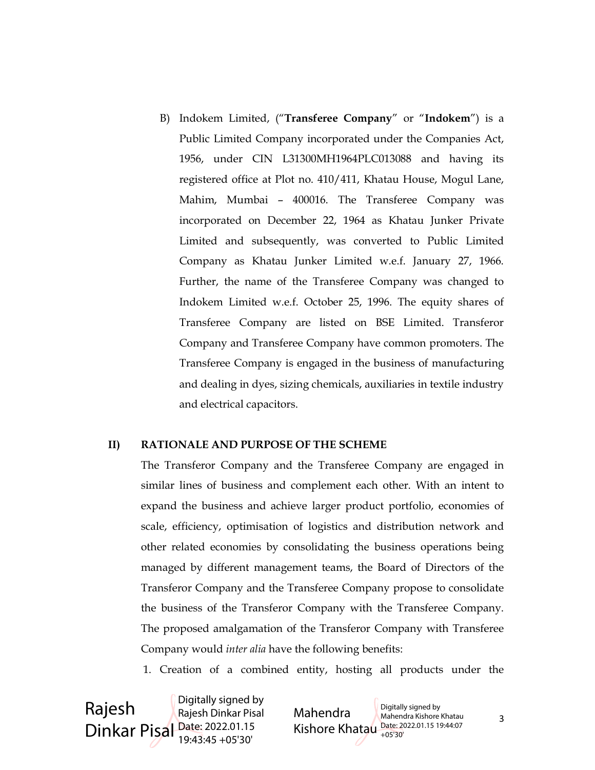B) Indokem Limited, ("Transferee Company" or "Indokem") is a Public Limited Company incorporated under the Companies Act, 1956, under CIN L31300MH1964PLC013088 and having its registered office at Plot no. 410/411, Khatau House, Mogul Lane, Mahim, Mumbai – 400016. The Transferee Company was incorporated on December 22, 1964 as Khatau Junker Private Limited and subsequently, was converted to Public Limited Company as Khatau Junker Limited w.e.f. January 27, 1966. Further, the name of the Transferee Company was changed to Indokem Limited w.e.f. October 25, 1996. The equity shares of Transferee Company are listed on BSE Limited. Transferor Company and Transferee Company have common promoters. The Transferee Company is engaged in the business of manufacturing and dealing in dyes, sizing chemicals, auxiliaries in textile industry and electrical capacitors.

### II) RATIONALE AND PURPOSE OF THE SCHEME

The Transferor Company and the Transferee Company are engaged in similar lines of business and complement each other. With an intent to expand the business and achieve larger product portfolio, economies of scale, efficiency, optimisation of logistics and distribution network and other related economies by consolidating the business operations being managed by different management teams, the Board of Directors of the Transferor Company and the Transferee Company propose to consolidate the business of the Transferor Company with the Transferee Company. The proposed amalgamation of the Transferor Company with Transferee Company would inter alia have the following benefits:

1. Creation of a combined entity, hosting all products under the

Rajesh Dinkar Pisal Date: 2022.01.15 Digitally signed by Rajesh Dinkar Pisal 19:43:45 +05'30'

Mahendra Kishore Khatau 3 Mahendra Kishore Khatau Date: 2022.01.15 19:44:07 Digitally signed by Mahendra Kishore Khatau +05'30'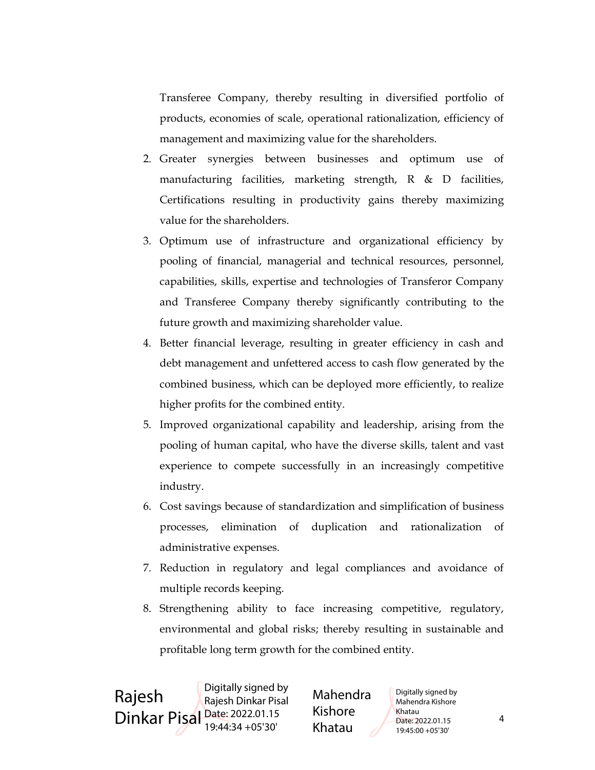Transferee Company, thereby resulting in diversified portfolio of products, economies of scale, operational rationalization, efficiency of management and maximizing value for the shareholders.

- 2. Greater synergies between businesses and optimum use of manufacturing facilities, marketing strength, R & D facilities, Certifications resulting in productivity gains thereby maximizing value for the shareholders.
- 3. Optimum use of infrastructure and organizational efficiency by pooling of financial, managerial and technical resources, personnel, capabilities, skills, expertise and technologies of Transferor Company and Transferee Company thereby significantly contributing to the future growth and maximizing shareholder value.
- 4. Better financial leverage, resulting in greater efficiency in cash and debt management and unfettered access to cash flow generated by the combined business, which can be deployed more efficiently, to realize higher profits for the combined entity.
- 5. Improved organizational capability and leadership, arising from the pooling of human capital, who have the diverse skills, talent and vast experience to compete successfully in an increasingly competitive industry.
- 6. Cost savings because of standardization and simplification of business processes, elimination of duplication and rationalization of administrative expenses.
- 7. Reduction in regulatory and legal compliances and avoidance of multiple records keeping.
- 8. Strengthening ability to face increasing competitive, regulatory, environmental and global risks; thereby resulting in sustainable and profitable long term growth for the combined entity.

 $Dinkar \, Pisal \, \frac{Date: 2022.01.15}{10.44.34 + 0.5130}$  KISHOre  $Date: 2022.01.15$  4 Rajesh Digitally signed by Rajesh Dinkar Pisal 19:44:34 +05'30'

Mahendra Kishore Khatau

Digitally signed by Mahendra Kishore Khatau Date: 2022.01.15 19:45:00 +05'30'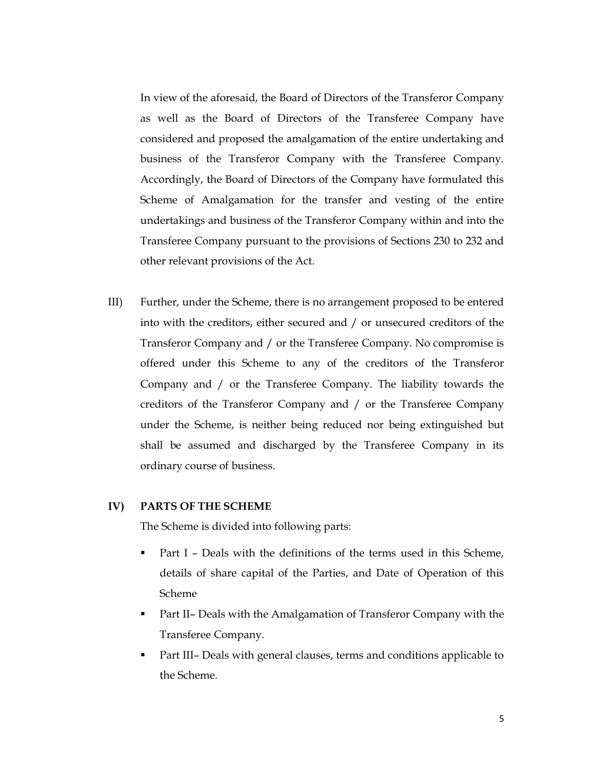In view of the aforesaid, the Board of Directors of the Transferor Company as well as the Board of Directors of the Transferee Company have considered and proposed the amalgamation of the entire undertaking and business of the Transferor Company with the Transferee Company. Accordingly, the Board of Directors of the Company have formulated this Scheme of Amalgamation for the transfer and vesting of the entire undertakings and business of the Transferor Company within and into the Transferee Company pursuant to the provisions of Sections 230 to 232 and other relevant provisions of the Act.

III) Further, under the Scheme, there is no arrangement proposed to be entered into with the creditors, either secured and / or unsecured creditors of the Transferor Company and / or the Transferee Company. No compromise is offered under this Scheme to any of the creditors of the Transferor Company and / or the Transferee Company. The liability towards the creditors of the Transferor Company and / or the Transferee Company under the Scheme, is neither being reduced nor being extinguished but shall be assumed and discharged by the Transferee Company in its ordinary course of business.

### IV) PARTS OF THE SCHEME

The Scheme is divided into following parts:

- Part I Deals with the definitions of the terms used in this Scheme, details of share capital of the Parties, and Date of Operation of this Scheme
- Part II– Deals with the Amalgamation of Transferor Company with the Transferee Company.
- Part III– Deals with general clauses, terms and conditions applicable to the Scheme.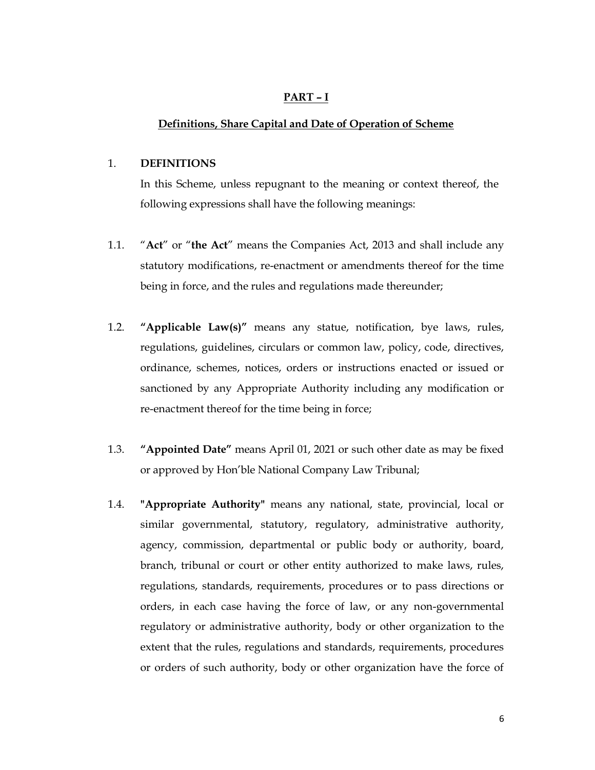#### PART – I

#### Definitions, Share Capital and Date of Operation of Scheme

#### 1. DEFINITIONS

In this Scheme, unless repugnant to the meaning or context thereof, the following expressions shall have the following meanings:

- 1.1. "Act" or "the Act" means the Companies Act, 2013 and shall include any statutory modifications, re-enactment or amendments thereof for the time being in force, and the rules and regulations made thereunder;
- 1.2. "Applicable Law(s)" means any statue, notification, bye laws, rules, regulations, guidelines, circulars or common law, policy, code, directives, ordinance, schemes, notices, orders or instructions enacted or issued or sanctioned by any Appropriate Authority including any modification or re-enactment thereof for the time being in force;
- 1.3. "Appointed Date" means April 01, 2021 or such other date as may be fixed or approved by Hon'ble National Company Law Tribunal;
- 1.4. "Appropriate Authority" means any national, state, provincial, local or similar governmental, statutory, regulatory, administrative authority, agency, commission, departmental or public body or authority, board, branch, tribunal or court or other entity authorized to make laws, rules, regulations, standards, requirements, procedures or to pass directions or orders, in each case having the force of law, or any non-governmental regulatory or administrative authority, body or other organization to the extent that the rules, regulations and standards, requirements, procedures or orders of such authority, body or other organization have the force of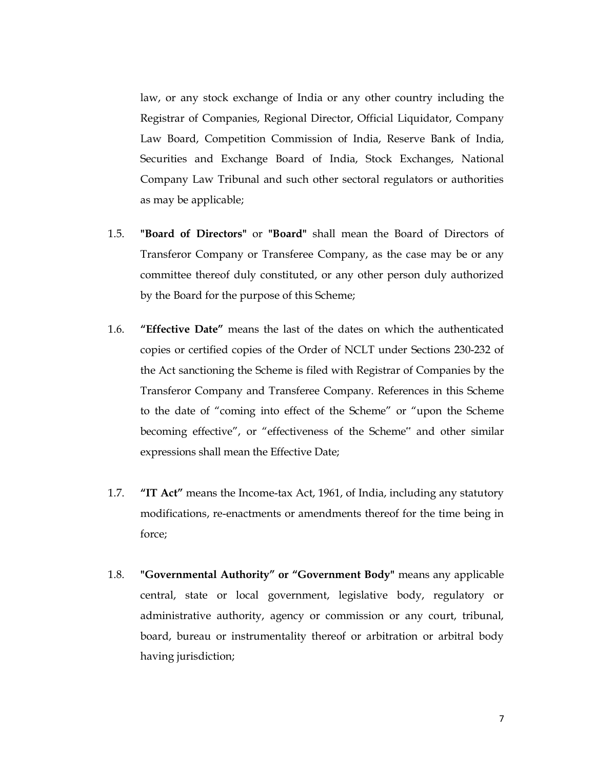law, or any stock exchange of India or any other country including the Registrar of Companies, Regional Director, Official Liquidator, Company Law Board, Competition Commission of India, Reserve Bank of India, Securities and Exchange Board of India, Stock Exchanges, National Company Law Tribunal and such other sectoral regulators or authorities as may be applicable;

- 1.5. "Board of Directors" or "Board" shall mean the Board of Directors of Transferor Company or Transferee Company, as the case may be or any committee thereof duly constituted, or any other person duly authorized by the Board for the purpose of this Scheme;
- 1.6. "Effective Date" means the last of the dates on which the authenticated copies or certified copies of the Order of NCLT under Sections 230-232 of the Act sanctioning the Scheme is filed with Registrar of Companies by the Transferor Company and Transferee Company. References in this Scheme to the date of "coming into effect of the Scheme" or "upon the Scheme becoming effective", or "effectiveness of the Scheme" and other similar expressions shall mean the Effective Date;
- 1.7. **"IT Act"** means the Income-tax Act, 1961, of India, including any statutory modifications, re-enactments or amendments thereof for the time being in force;
- 1.8. "Governmental Authority" or "Government Body" means any applicable central, state or local government, legislative body, regulatory or administrative authority, agency or commission or any court, tribunal, board, bureau or instrumentality thereof or arbitration or arbitral body having jurisdiction;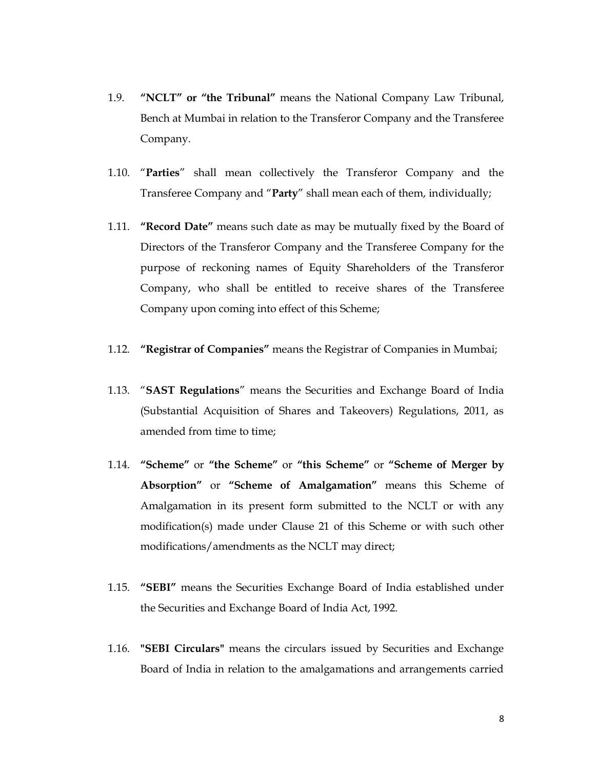- 1.9. "NCLT" or "the Tribunal" means the National Company Law Tribunal, Bench at Mumbai in relation to the Transferor Company and the Transferee Company.
- 1.10. "Parties" shall mean collectively the Transferor Company and the Transferee Company and "Party" shall mean each of them, individually;
- 1.11. "Record Date" means such date as may be mutually fixed by the Board of Directors of the Transferor Company and the Transferee Company for the purpose of reckoning names of Equity Shareholders of the Transferor Company, who shall be entitled to receive shares of the Transferee Company upon coming into effect of this Scheme;
- 1.12. "Registrar of Companies" means the Registrar of Companies in Mumbai;
- 1.13. "SAST Regulations" means the Securities and Exchange Board of India (Substantial Acquisition of Shares and Takeovers) Regulations, 2011, as amended from time to time;
- 1.14. "Scheme" or "the Scheme" or "this Scheme" or "Scheme of Merger by Absorption" or "Scheme of Amalgamation" means this Scheme of Amalgamation in its present form submitted to the NCLT or with any modification(s) made under Clause 21 of this Scheme or with such other modifications/amendments as the NCLT may direct;
- 1.15. "SEBI" means the Securities Exchange Board of India established under the Securities and Exchange Board of India Act, 1992.
- 1.16. "SEBI Circulars" means the circulars issued by Securities and Exchange Board of India in relation to the amalgamations and arrangements carried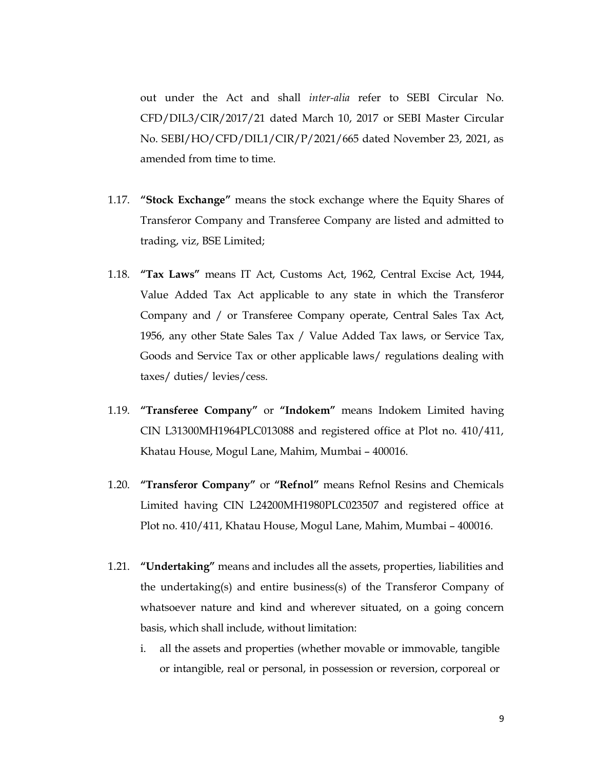out under the Act and shall inter-alia refer to SEBI Circular No. CFD/DIL3/CIR/2017/21 dated March 10, 2017 or SEBI Master Circular No. SEBI/HO/CFD/DIL1/CIR/P/2021/665 dated November 23, 2021, as amended from time to time.

- 1.17. "Stock Exchange" means the stock exchange where the Equity Shares of Transferor Company and Transferee Company are listed and admitted to trading, viz, BSE Limited;
- 1.18. "Tax Laws" means IT Act, Customs Act, 1962, Central Excise Act, 1944, Value Added Tax Act applicable to any state in which the Transferor Company and / or Transferee Company operate, Central Sales Tax Act, 1956, any other State Sales Tax / Value Added Tax laws, or Service Tax, Goods and Service Tax or other applicable laws/ regulations dealing with taxes/ duties/ levies/cess.
- 1.19. "Transferee Company" or "Indokem" means Indokem Limited having CIN L31300MH1964PLC013088 and registered office at Plot no. 410/411, Khatau House, Mogul Lane, Mahim, Mumbai – 400016.
- 1.20. "Transferor Company" or "Refnol" means Refnol Resins and Chemicals Limited having CIN L24200MH1980PLC023507 and registered office at Plot no. 410/411, Khatau House, Mogul Lane, Mahim, Mumbai – 400016.
- 1.21. "Undertaking" means and includes all the assets, properties, liabilities and the undertaking(s) and entire business(s) of the Transferor Company of whatsoever nature and kind and wherever situated, on a going concern basis, which shall include, without limitation:
	- i. all the assets and properties (whether movable or immovable, tangible or intangible, real or personal, in possession or reversion, corporeal or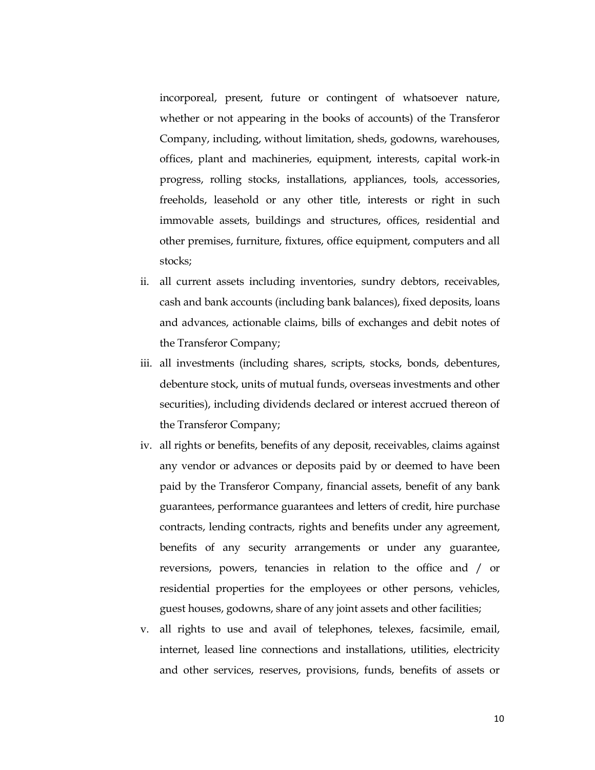incorporeal, present, future or contingent of whatsoever nature, whether or not appearing in the books of accounts) of the Transferor Company, including, without limitation, sheds, godowns, warehouses, offices, plant and machineries, equipment, interests, capital work-in progress, rolling stocks, installations, appliances, tools, accessories, freeholds, leasehold or any other title, interests or right in such immovable assets, buildings and structures, offices, residential and other premises, furniture, fixtures, office equipment, computers and all stocks;

- ii. all current assets including inventories, sundry debtors, receivables, cash and bank accounts (including bank balances), fixed deposits, loans and advances, actionable claims, bills of exchanges and debit notes of the Transferor Company;
- iii. all investments (including shares, scripts, stocks, bonds, debentures, debenture stock, units of mutual funds, overseas investments and other securities), including dividends declared or interest accrued thereon of the Transferor Company;
- iv. all rights or benefits, benefits of any deposit, receivables, claims against any vendor or advances or deposits paid by or deemed to have been paid by the Transferor Company, financial assets, benefit of any bank guarantees, performance guarantees and letters of credit, hire purchase contracts, lending contracts, rights and benefits under any agreement, benefits of any security arrangements or under any guarantee, reversions, powers, tenancies in relation to the office and / or residential properties for the employees or other persons, vehicles, guest houses, godowns, share of any joint assets and other facilities;
- v. all rights to use and avail of telephones, telexes, facsimile, email, internet, leased line connections and installations, utilities, electricity and other services, reserves, provisions, funds, benefits of assets or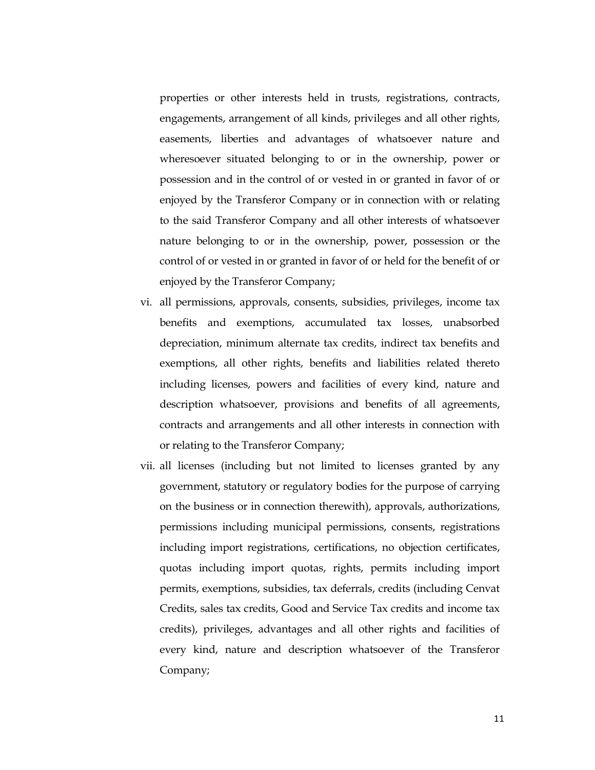properties or other interests held in trusts, registrations, contracts, engagements, arrangement of all kinds, privileges and all other rights, easements, liberties and advantages of whatsoever nature and wheresoever situated belonging to or in the ownership, power or possession and in the control of or vested in or granted in favor of or enjoyed by the Transferor Company or in connection with or relating to the said Transferor Company and all other interests of whatsoever nature belonging to or in the ownership, power, possession or the control of or vested in or granted in favor of or held for the benefit of or enjoyed by the Transferor Company;

- vi. all permissions, approvals, consents, subsidies, privileges, income tax benefits and exemptions, accumulated tax losses, unabsorbed depreciation, minimum alternate tax credits, indirect tax benefits and exemptions, all other rights, benefits and liabilities related thereto including licenses, powers and facilities of every kind, nature and description whatsoever, provisions and benefits of all agreements, contracts and arrangements and all other interests in connection with or relating to the Transferor Company;
- vii. all licenses (including but not limited to licenses granted by any government, statutory or regulatory bodies for the purpose of carrying on the business or in connection therewith), approvals, authorizations, permissions including municipal permissions, consents, registrations including import registrations, certifications, no objection certificates, quotas including import quotas, rights, permits including import permits, exemptions, subsidies, tax deferrals, credits (including Cenvat Credits, sales tax credits, Good and Service Tax credits and income tax credits), privileges, advantages and all other rights and facilities of every kind, nature and description whatsoever of the Transferor Company;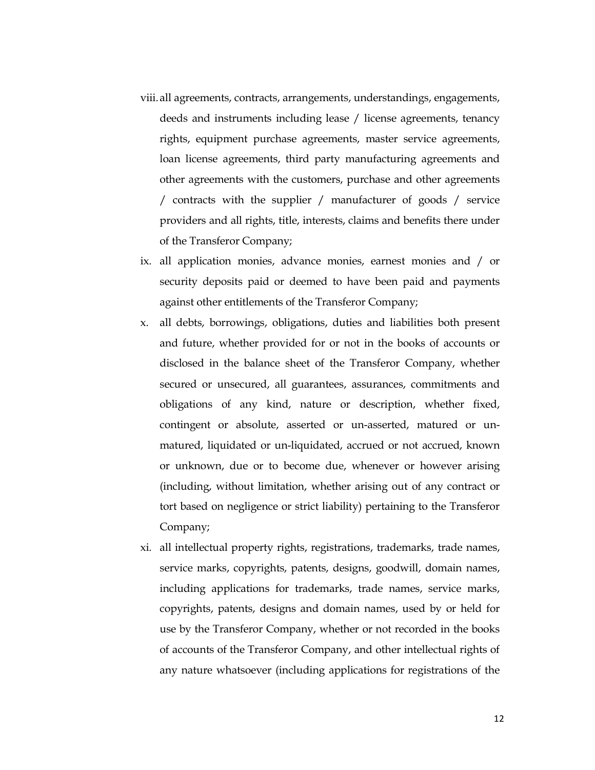- viii.all agreements, contracts, arrangements, understandings, engagements, deeds and instruments including lease / license agreements, tenancy rights, equipment purchase agreements, master service agreements, loan license agreements, third party manufacturing agreements and other agreements with the customers, purchase and other agreements / contracts with the supplier / manufacturer of goods / service providers and all rights, title, interests, claims and benefits there under of the Transferor Company;
- ix. all application monies, advance monies, earnest monies and / or security deposits paid or deemed to have been paid and payments against other entitlements of the Transferor Company;
- x. all debts, borrowings, obligations, duties and liabilities both present and future, whether provided for or not in the books of accounts or disclosed in the balance sheet of the Transferor Company, whether secured or unsecured, all guarantees, assurances, commitments and obligations of any kind, nature or description, whether fixed, contingent or absolute, asserted or un-asserted, matured or unmatured, liquidated or un-liquidated, accrued or not accrued, known or unknown, due or to become due, whenever or however arising (including, without limitation, whether arising out of any contract or tort based on negligence or strict liability) pertaining to the Transferor Company;
- xi. all intellectual property rights, registrations, trademarks, trade names, service marks, copyrights, patents, designs, goodwill, domain names, including applications for trademarks, trade names, service marks, copyrights, patents, designs and domain names, used by or held for use by the Transferor Company, whether or not recorded in the books of accounts of the Transferor Company, and other intellectual rights of any nature whatsoever (including applications for registrations of the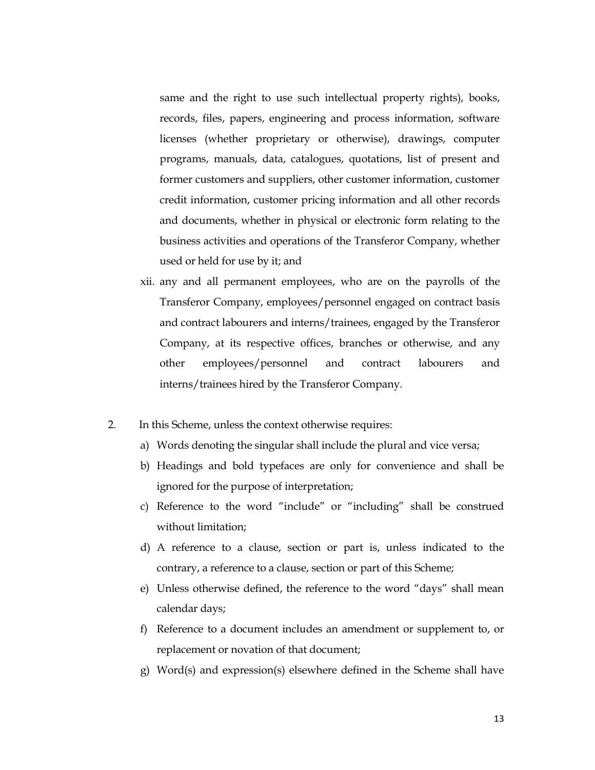same and the right to use such intellectual property rights), books, records, files, papers, engineering and process information, software licenses (whether proprietary or otherwise), drawings, computer programs, manuals, data, catalogues, quotations, list of present and former customers and suppliers, other customer information, customer credit information, customer pricing information and all other records and documents, whether in physical or electronic form relating to the business activities and operations of the Transferor Company, whether used or held for use by it; and

- xii. any and all permanent employees, who are on the payrolls of the Transferor Company, employees/personnel engaged on contract basis and contract labourers and interns/trainees, engaged by the Transferor Company, at its respective offices, branches or otherwise, and any other employees/personnel and contract labourers and interns/trainees hired by the Transferor Company.
- 2. In this Scheme, unless the context otherwise requires:
	- a) Words denoting the singular shall include the plural and vice versa;
	- b) Headings and bold typefaces are only for convenience and shall be ignored for the purpose of interpretation;
	- c) Reference to the word "include" or "including" shall be construed without limitation;
	- d) A reference to a clause, section or part is, unless indicated to the contrary, a reference to a clause, section or part of this Scheme;
	- e) Unless otherwise defined, the reference to the word "days" shall mean calendar days;
	- f) Reference to a document includes an amendment or supplement to, or replacement or novation of that document;
	- g) Word(s) and expression(s) elsewhere defined in the Scheme shall have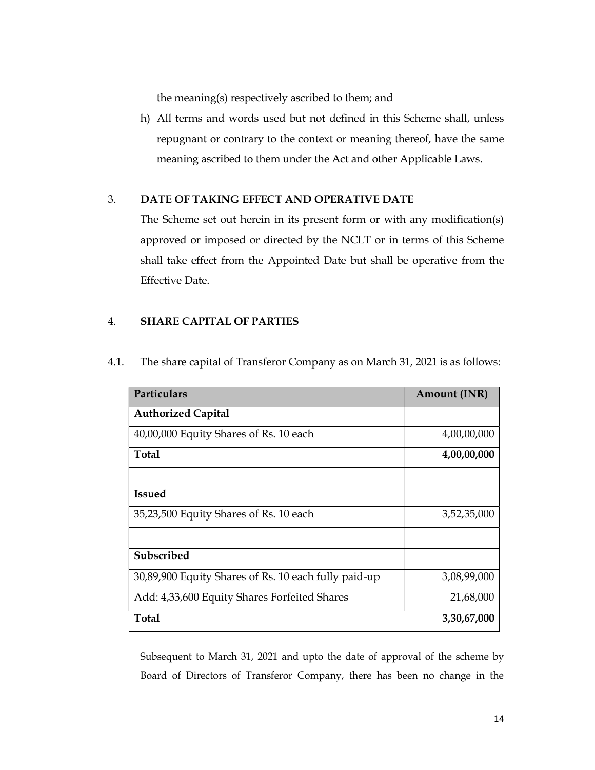the meaning(s) respectively ascribed to them; and

h) All terms and words used but not defined in this Scheme shall, unless repugnant or contrary to the context or meaning thereof, have the same meaning ascribed to them under the Act and other Applicable Laws.

# 3. DATE OF TAKING EFFECT AND OPERATIVE DATE

The Scheme set out herein in its present form or with any modification(s) approved or imposed or directed by the NCLT or in terms of this Scheme shall take effect from the Appointed Date but shall be operative from the Effective Date.

# 4. SHARE CAPITAL OF PARTIES

| Particulars                                          | <b>Amount (INR)</b> |
|------------------------------------------------------|---------------------|
| <b>Authorized Capital</b>                            |                     |
| 40,00,000 Equity Shares of Rs. 10 each               | 4,00,00,000         |
| Total                                                | 4,00,00,000         |
|                                                      |                     |
| <b>Issued</b>                                        |                     |
| 35,23,500 Equity Shares of Rs. 10 each               | 3,52,35,000         |
|                                                      |                     |
| Subscribed                                           |                     |
| 30,89,900 Equity Shares of Rs. 10 each fully paid-up | 3,08,99,000         |
| Add: 4,33,600 Equity Shares Forfeited Shares         | 21,68,000           |
| <b>Total</b>                                         | 3,30,67,000         |

4.1. The share capital of Transferor Company as on March 31, 2021 is as follows:

Subsequent to March 31, 2021 and upto the date of approval of the scheme by Board of Directors of Transferor Company, there has been no change in the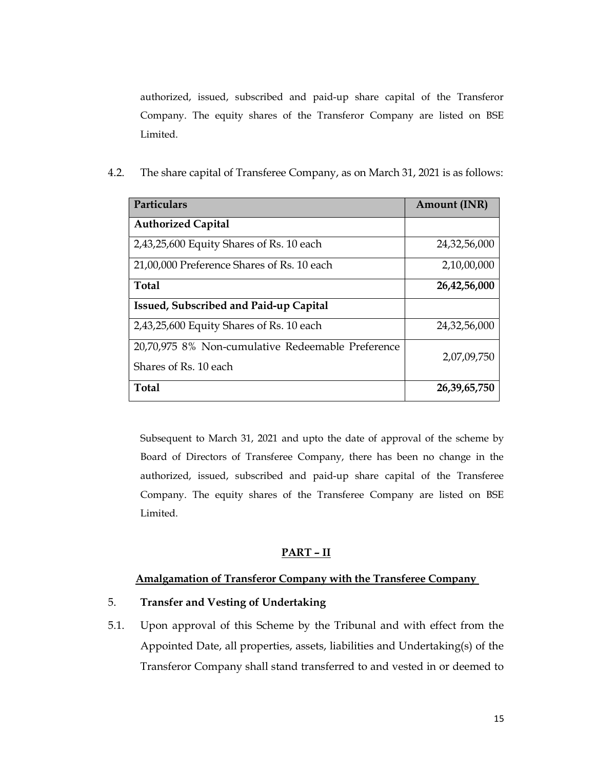authorized, issued, subscribed and paid-up share capital of the Transferor Company. The equity shares of the Transferor Company are listed on BSE Limited.

4.2. The share capital of Transferee Company, as on March 31, 2021 is as follows:

| Particulars                                       | <b>Amount (INR)</b> |
|---------------------------------------------------|---------------------|
| <b>Authorized Capital</b>                         |                     |
| 2,43,25,600 Equity Shares of Rs. 10 each          | 24,32,56,000        |
| 21,00,000 Preference Shares of Rs. 10 each        | 2,10,00,000         |
| <b>Total</b>                                      | 26,42,56,000        |
| Issued, Subscribed and Paid-up Capital            |                     |
| 2,43,25,600 Equity Shares of Rs. 10 each          | 24,32,56,000        |
| 20,70,975 8% Non-cumulative Redeemable Preference | 2,07,09,750         |
| Shares of Rs. 10 each                             |                     |
| <b>Total</b>                                      | 26,39,65,750        |

Subsequent to March 31, 2021 and upto the date of approval of the scheme by Board of Directors of Transferee Company, there has been no change in the authorized, issued, subscribed and paid-up share capital of the Transferee Company. The equity shares of the Transferee Company are listed on BSE Limited.

## PART – II

### Amalgamation of Transferor Company with the Transferee Company

## 5. Transfer and Vesting of Undertaking

5.1. Upon approval of this Scheme by the Tribunal and with effect from the Appointed Date, all properties, assets, liabilities and Undertaking(s) of the Transferor Company shall stand transferred to and vested in or deemed to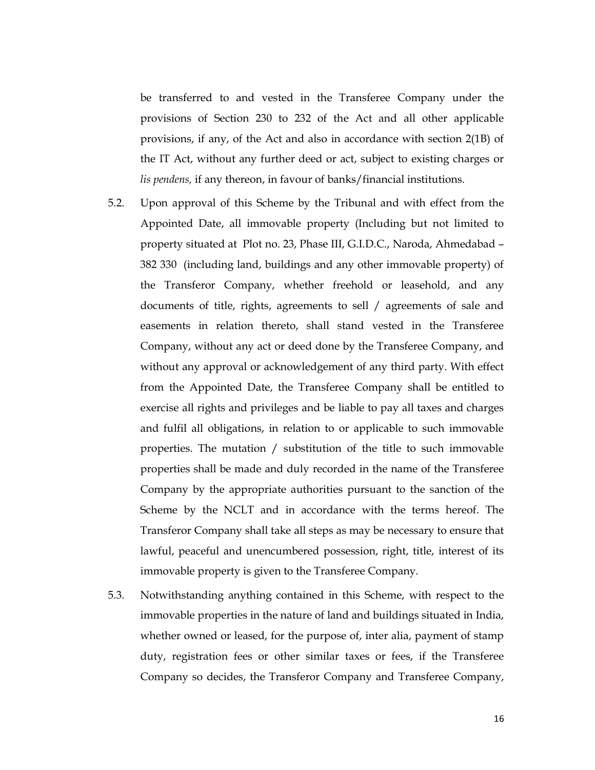be transferred to and vested in the Transferee Company under the provisions of Section 230 to 232 of the Act and all other applicable provisions, if any, of the Act and also in accordance with section 2(1B) of the IT Act, without any further deed or act, subject to existing charges or lis pendens, if any thereon, in favour of banks/financial institutions.

- 5.2. Upon approval of this Scheme by the Tribunal and with effect from the Appointed Date, all immovable property (Including but not limited to property situated at Plot no. 23, Phase III, G.I.D.C., Naroda, Ahmedabad – 382 330 (including land, buildings and any other immovable property) of the Transferor Company, whether freehold or leasehold, and any documents of title, rights, agreements to sell / agreements of sale and easements in relation thereto, shall stand vested in the Transferee Company, without any act or deed done by the Transferee Company, and without any approval or acknowledgement of any third party. With effect from the Appointed Date, the Transferee Company shall be entitled to exercise all rights and privileges and be liable to pay all taxes and charges and fulfil all obligations, in relation to or applicable to such immovable properties. The mutation / substitution of the title to such immovable properties shall be made and duly recorded in the name of the Transferee Company by the appropriate authorities pursuant to the sanction of the Scheme by the NCLT and in accordance with the terms hereof. The Transferor Company shall take all steps as may be necessary to ensure that lawful, peaceful and unencumbered possession, right, title, interest of its immovable property is given to the Transferee Company.
- 5.3. Notwithstanding anything contained in this Scheme, with respect to the immovable properties in the nature of land and buildings situated in India, whether owned or leased, for the purpose of, inter alia, payment of stamp duty, registration fees or other similar taxes or fees, if the Transferee Company so decides, the Transferor Company and Transferee Company,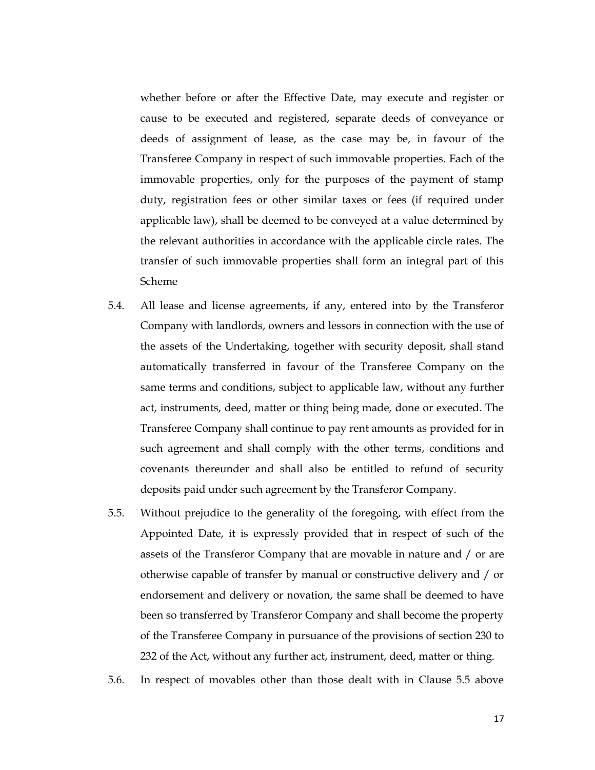whether before or after the Effective Date, may execute and register or cause to be executed and registered, separate deeds of conveyance or deeds of assignment of lease, as the case may be, in favour of the Transferee Company in respect of such immovable properties. Each of the immovable properties, only for the purposes of the payment of stamp duty, registration fees or other similar taxes or fees (if required under applicable law), shall be deemed to be conveyed at a value determined by the relevant authorities in accordance with the applicable circle rates. The transfer of such immovable properties shall form an integral part of this Scheme

- 5.4. All lease and license agreements, if any, entered into by the Transferor Company with landlords, owners and lessors in connection with the use of the assets of the Undertaking, together with security deposit, shall stand automatically transferred in favour of the Transferee Company on the same terms and conditions, subject to applicable law, without any further act, instruments, deed, matter or thing being made, done or executed. The Transferee Company shall continue to pay rent amounts as provided for in such agreement and shall comply with the other terms, conditions and covenants thereunder and shall also be entitled to refund of security deposits paid under such agreement by the Transferor Company.
- 5.5. Without prejudice to the generality of the foregoing, with effect from the Appointed Date, it is expressly provided that in respect of such of the assets of the Transferor Company that are movable in nature and / or are otherwise capable of transfer by manual or constructive delivery and / or endorsement and delivery or novation, the same shall be deemed to have been so transferred by Transferor Company and shall become the property of the Transferee Company in pursuance of the provisions of section 230 to 232 of the Act, without any further act, instrument, deed, matter or thing.
- 5.6. In respect of movables other than those dealt with in Clause 5.5 above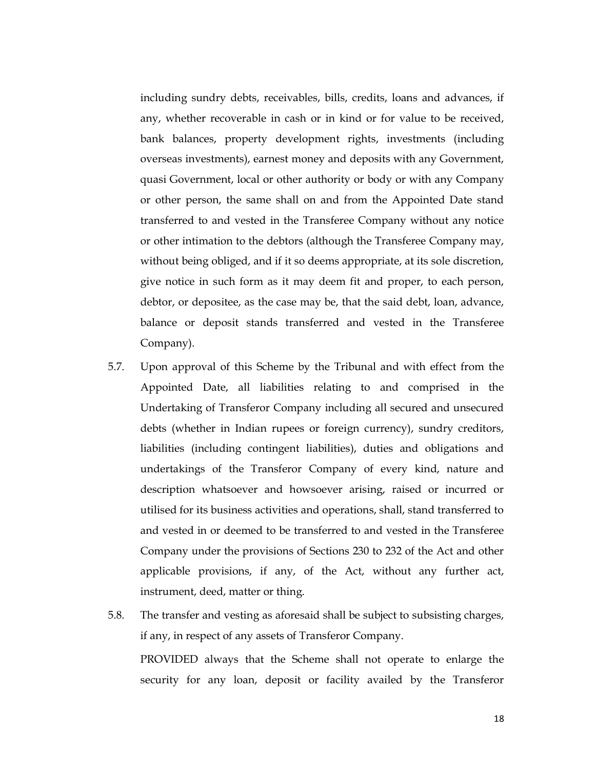including sundry debts, receivables, bills, credits, loans and advances, if any, whether recoverable in cash or in kind or for value to be received, bank balances, property development rights, investments (including overseas investments), earnest money and deposits with any Government, quasi Government, local or other authority or body or with any Company or other person, the same shall on and from the Appointed Date stand transferred to and vested in the Transferee Company without any notice or other intimation to the debtors (although the Transferee Company may, without being obliged, and if it so deems appropriate, at its sole discretion, give notice in such form as it may deem fit and proper, to each person, debtor, or depositee, as the case may be, that the said debt, loan, advance, balance or deposit stands transferred and vested in the Transferee Company).

5.7. Upon approval of this Scheme by the Tribunal and with effect from the Appointed Date, all liabilities relating to and comprised in the Undertaking of Transferor Company including all secured and unsecured debts (whether in Indian rupees or foreign currency), sundry creditors, liabilities (including contingent liabilities), duties and obligations and undertakings of the Transferor Company of every kind, nature and description whatsoever and howsoever arising, raised or incurred or utilised for its business activities and operations, shall, stand transferred to and vested in or deemed to be transferred to and vested in the Transferee Company under the provisions of Sections 230 to 232 of the Act and other applicable provisions, if any, of the Act, without any further act, instrument, deed, matter or thing.

5.8. The transfer and vesting as aforesaid shall be subject to subsisting charges, if any, in respect of any assets of Transferor Company. PROVIDED always that the Scheme shall not operate to enlarge the security for any loan, deposit or facility availed by the Transferor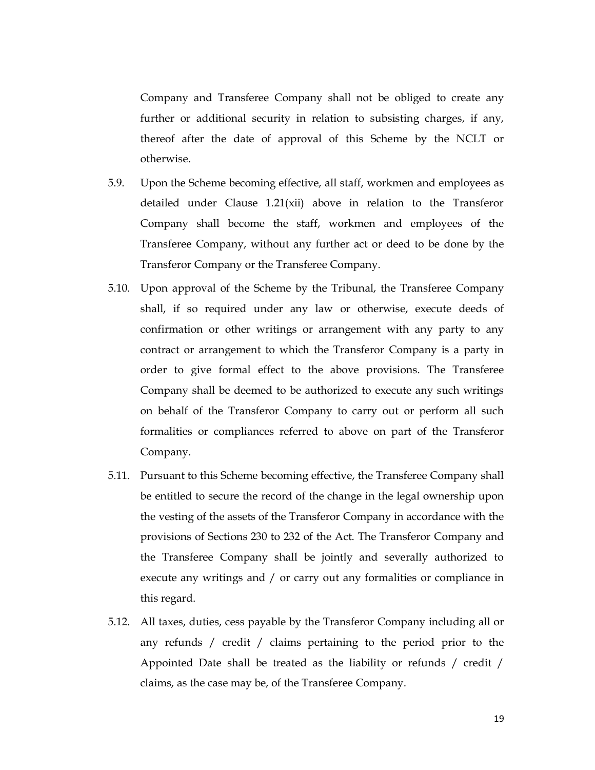Company and Transferee Company shall not be obliged to create any further or additional security in relation to subsisting charges, if any, thereof after the date of approval of this Scheme by the NCLT or otherwise.

- 5.9. Upon the Scheme becoming effective, all staff, workmen and employees as detailed under Clause 1.21(xii) above in relation to the Transferor Company shall become the staff, workmen and employees of the Transferee Company, without any further act or deed to be done by the Transferor Company or the Transferee Company.
- 5.10. Upon approval of the Scheme by the Tribunal, the Transferee Company shall, if so required under any law or otherwise, execute deeds of confirmation or other writings or arrangement with any party to any contract or arrangement to which the Transferor Company is a party in order to give formal effect to the above provisions. The Transferee Company shall be deemed to be authorized to execute any such writings on behalf of the Transferor Company to carry out or perform all such formalities or compliances referred to above on part of the Transferor Company.
- 5.11. Pursuant to this Scheme becoming effective, the Transferee Company shall be entitled to secure the record of the change in the legal ownership upon the vesting of the assets of the Transferor Company in accordance with the provisions of Sections 230 to 232 of the Act. The Transferor Company and the Transferee Company shall be jointly and severally authorized to execute any writings and / or carry out any formalities or compliance in this regard.
- 5.12. All taxes, duties, cess payable by the Transferor Company including all or any refunds / credit / claims pertaining to the period prior to the Appointed Date shall be treated as the liability or refunds / credit / claims, as the case may be, of the Transferee Company.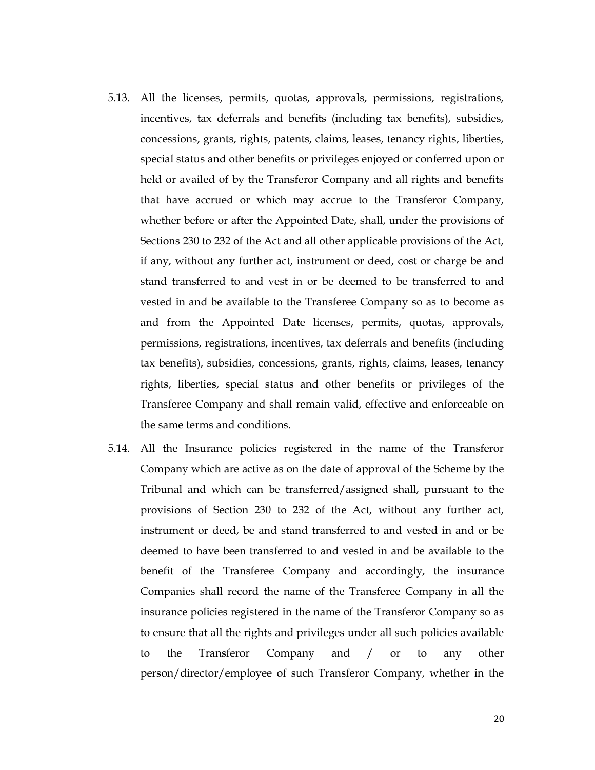- 5.13. All the licenses, permits, quotas, approvals, permissions, registrations, incentives, tax deferrals and benefits (including tax benefits), subsidies, concessions, grants, rights, patents, claims, leases, tenancy rights, liberties, special status and other benefits or privileges enjoyed or conferred upon or held or availed of by the Transferor Company and all rights and benefits that have accrued or which may accrue to the Transferor Company, whether before or after the Appointed Date, shall, under the provisions of Sections 230 to 232 of the Act and all other applicable provisions of the Act, if any, without any further act, instrument or deed, cost or charge be and stand transferred to and vest in or be deemed to be transferred to and vested in and be available to the Transferee Company so as to become as and from the Appointed Date licenses, permits, quotas, approvals, permissions, registrations, incentives, tax deferrals and benefits (including tax benefits), subsidies, concessions, grants, rights, claims, leases, tenancy rights, liberties, special status and other benefits or privileges of the Transferee Company and shall remain valid, effective and enforceable on the same terms and conditions.
- 5.14. All the Insurance policies registered in the name of the Transferor Company which are active as on the date of approval of the Scheme by the Tribunal and which can be transferred/assigned shall, pursuant to the provisions of Section 230 to 232 of the Act, without any further act, instrument or deed, be and stand transferred to and vested in and or be deemed to have been transferred to and vested in and be available to the benefit of the Transferee Company and accordingly, the insurance Companies shall record the name of the Transferee Company in all the insurance policies registered in the name of the Transferor Company so as to ensure that all the rights and privileges under all such policies available to the Transferor Company and / or to any other person/director/employee of such Transferor Company, whether in the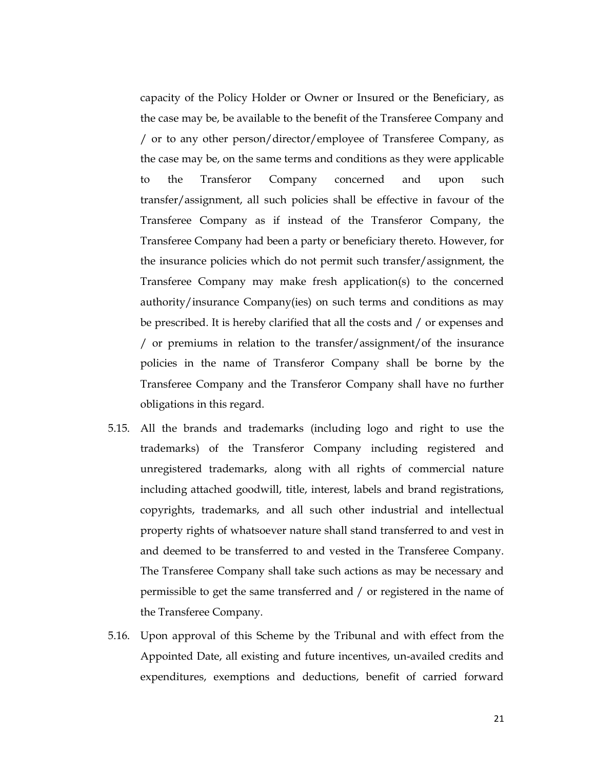capacity of the Policy Holder or Owner or Insured or the Beneficiary, as the case may be, be available to the benefit of the Transferee Company and / or to any other person/director/employee of Transferee Company, as the case may be, on the same terms and conditions as they were applicable to the Transferor Company concerned and upon such transfer/assignment, all such policies shall be effective in favour of the Transferee Company as if instead of the Transferor Company, the Transferee Company had been a party or beneficiary thereto. However, for the insurance policies which do not permit such transfer/assignment, the Transferee Company may make fresh application(s) to the concerned authority/insurance Company(ies) on such terms and conditions as may be prescribed. It is hereby clarified that all the costs and / or expenses and / or premiums in relation to the transfer/assignment/of the insurance policies in the name of Transferor Company shall be borne by the Transferee Company and the Transferor Company shall have no further obligations in this regard.

- 5.15. All the brands and trademarks (including logo and right to use the trademarks) of the Transferor Company including registered and unregistered trademarks, along with all rights of commercial nature including attached goodwill, title, interest, labels and brand registrations, copyrights, trademarks, and all such other industrial and intellectual property rights of whatsoever nature shall stand transferred to and vest in and deemed to be transferred to and vested in the Transferee Company. The Transferee Company shall take such actions as may be necessary and permissible to get the same transferred and / or registered in the name of the Transferee Company.
- 5.16. Upon approval of this Scheme by the Tribunal and with effect from the Appointed Date, all existing and future incentives, un-availed credits and expenditures, exemptions and deductions, benefit of carried forward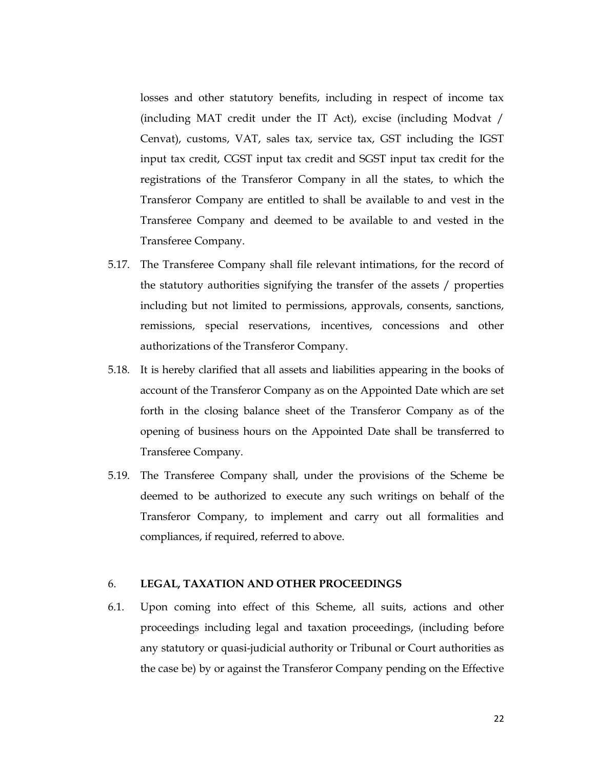losses and other statutory benefits, including in respect of income tax (including MAT credit under the IT Act), excise (including Modvat / Cenvat), customs, VAT, sales tax, service tax, GST including the IGST input tax credit, CGST input tax credit and SGST input tax credit for the registrations of the Transferor Company in all the states, to which the Transferor Company are entitled to shall be available to and vest in the Transferee Company and deemed to be available to and vested in the Transferee Company.

- 5.17. The Transferee Company shall file relevant intimations, for the record of the statutory authorities signifying the transfer of the assets / properties including but not limited to permissions, approvals, consents, sanctions, remissions, special reservations, incentives, concessions and other authorizations of the Transferor Company.
- 5.18. It is hereby clarified that all assets and liabilities appearing in the books of account of the Transferor Company as on the Appointed Date which are set forth in the closing balance sheet of the Transferor Company as of the opening of business hours on the Appointed Date shall be transferred to Transferee Company.
- 5.19. The Transferee Company shall, under the provisions of the Scheme be deemed to be authorized to execute any such writings on behalf of the Transferor Company, to implement and carry out all formalities and compliances, if required, referred to above.

## 6. LEGAL, TAXATION AND OTHER PROCEEDINGS

6.1. Upon coming into effect of this Scheme, all suits, actions and other proceedings including legal and taxation proceedings, (including before any statutory or quasi-judicial authority or Tribunal or Court authorities as the case be) by or against the Transferor Company pending on the Effective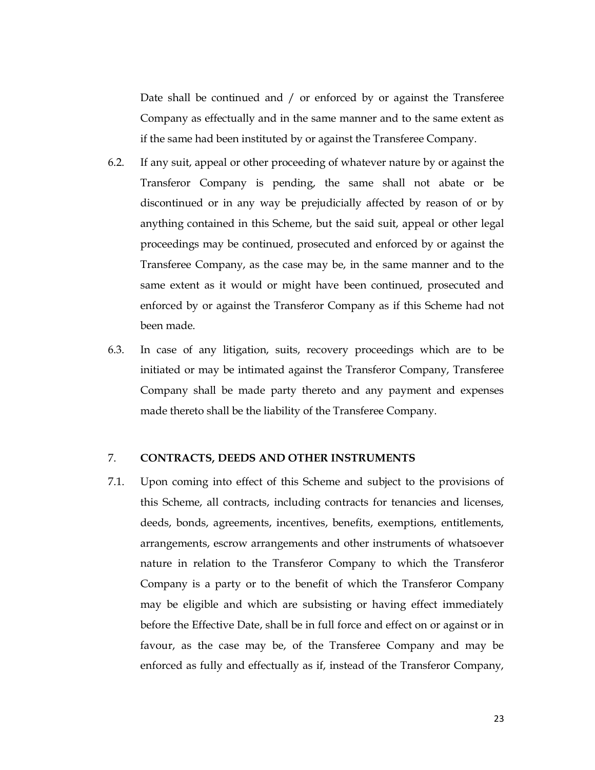Date shall be continued and / or enforced by or against the Transferee Company as effectually and in the same manner and to the same extent as if the same had been instituted by or against the Transferee Company.

- 6.2. If any suit, appeal or other proceeding of whatever nature by or against the Transferor Company is pending, the same shall not abate or be discontinued or in any way be prejudicially affected by reason of or by anything contained in this Scheme, but the said suit, appeal or other legal proceedings may be continued, prosecuted and enforced by or against the Transferee Company, as the case may be, in the same manner and to the same extent as it would or might have been continued, prosecuted and enforced by or against the Transferor Company as if this Scheme had not been made.
- 6.3. In case of any litigation, suits, recovery proceedings which are to be initiated or may be intimated against the Transferor Company, Transferee Company shall be made party thereto and any payment and expenses made thereto shall be the liability of the Transferee Company.

#### 7. CONTRACTS, DEEDS AND OTHER INSTRUMENTS

7.1. Upon coming into effect of this Scheme and subject to the provisions of this Scheme, all contracts, including contracts for tenancies and licenses, deeds, bonds, agreements, incentives, benefits, exemptions, entitlements, arrangements, escrow arrangements and other instruments of whatsoever nature in relation to the Transferor Company to which the Transferor Company is a party or to the benefit of which the Transferor Company may be eligible and which are subsisting or having effect immediately before the Effective Date, shall be in full force and effect on or against or in favour, as the case may be, of the Transferee Company and may be enforced as fully and effectually as if, instead of the Transferor Company,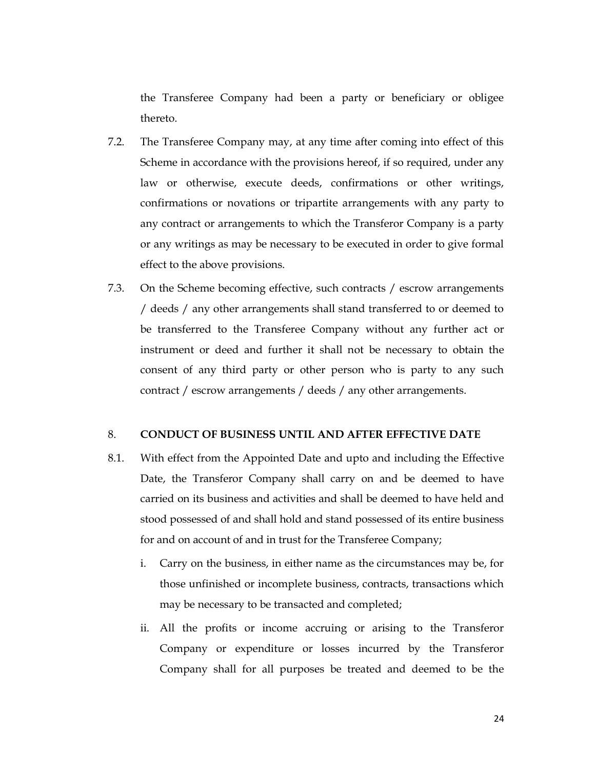the Transferee Company had been a party or beneficiary or obligee thereto.

- 7.2. The Transferee Company may, at any time after coming into effect of this Scheme in accordance with the provisions hereof, if so required, under any law or otherwise, execute deeds, confirmations or other writings, confirmations or novations or tripartite arrangements with any party to any contract or arrangements to which the Transferor Company is a party or any writings as may be necessary to be executed in order to give formal effect to the above provisions.
- 7.3. On the Scheme becoming effective, such contracts / escrow arrangements / deeds / any other arrangements shall stand transferred to or deemed to be transferred to the Transferee Company without any further act or instrument or deed and further it shall not be necessary to obtain the consent of any third party or other person who is party to any such contract / escrow arrangements / deeds / any other arrangements.

#### 8. CONDUCT OF BUSINESS UNTIL AND AFTER EFFECTIVE DATE

- 8.1. With effect from the Appointed Date and upto and including the Effective Date, the Transferor Company shall carry on and be deemed to have carried on its business and activities and shall be deemed to have held and stood possessed of and shall hold and stand possessed of its entire business for and on account of and in trust for the Transferee Company;
	- i. Carry on the business, in either name as the circumstances may be, for those unfinished or incomplete business, contracts, transactions which may be necessary to be transacted and completed;
	- ii. All the profits or income accruing or arising to the Transferor Company or expenditure or losses incurred by the Transferor Company shall for all purposes be treated and deemed to be the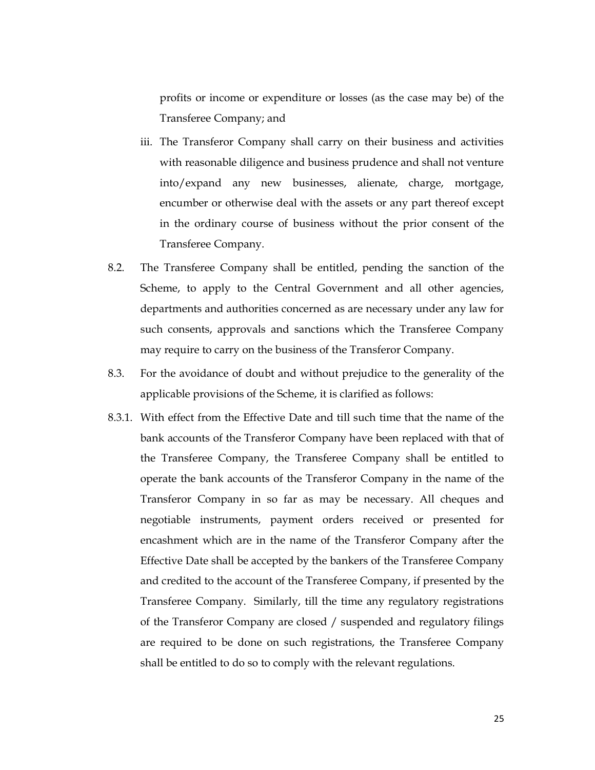profits or income or expenditure or losses (as the case may be) of the Transferee Company; and

- iii. The Transferor Company shall carry on their business and activities with reasonable diligence and business prudence and shall not venture into/expand any new businesses, alienate, charge, mortgage, encumber or otherwise deal with the assets or any part thereof except in the ordinary course of business without the prior consent of the Transferee Company.
- 8.2. The Transferee Company shall be entitled, pending the sanction of the Scheme, to apply to the Central Government and all other agencies, departments and authorities concerned as are necessary under any law for such consents, approvals and sanctions which the Transferee Company may require to carry on the business of the Transferor Company.
- 8.3. For the avoidance of doubt and without prejudice to the generality of the applicable provisions of the Scheme, it is clarified as follows:
- 8.3.1. With effect from the Effective Date and till such time that the name of the bank accounts of the Transferor Company have been replaced with that of the Transferee Company, the Transferee Company shall be entitled to operate the bank accounts of the Transferor Company in the name of the Transferor Company in so far as may be necessary. All cheques and negotiable instruments, payment orders received or presented for encashment which are in the name of the Transferor Company after the Effective Date shall be accepted by the bankers of the Transferee Company and credited to the account of the Transferee Company, if presented by the Transferee Company. Similarly, till the time any regulatory registrations of the Transferor Company are closed / suspended and regulatory filings are required to be done on such registrations, the Transferee Company shall be entitled to do so to comply with the relevant regulations.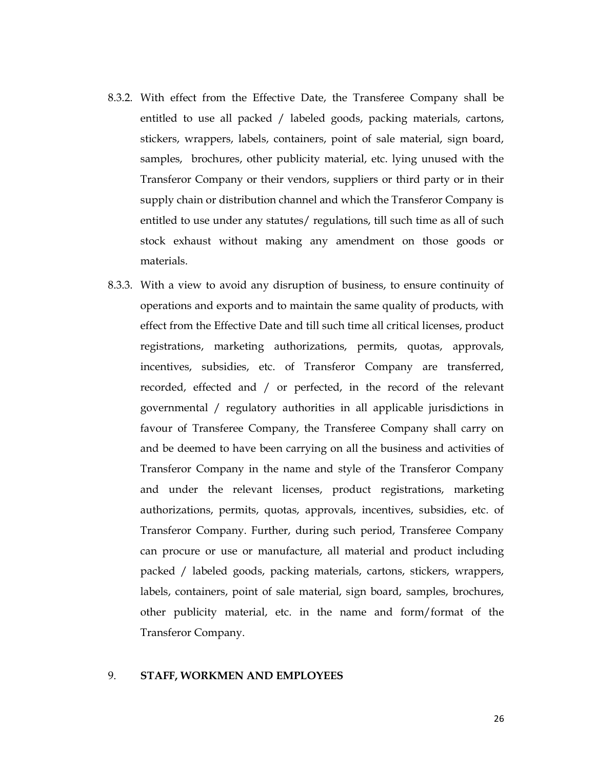- 8.3.2. With effect from the Effective Date, the Transferee Company shall be entitled to use all packed / labeled goods, packing materials, cartons, stickers, wrappers, labels, containers, point of sale material, sign board, samples, brochures, other publicity material, etc. lying unused with the Transferor Company or their vendors, suppliers or third party or in their supply chain or distribution channel and which the Transferor Company is entitled to use under any statutes/ regulations, till such time as all of such stock exhaust without making any amendment on those goods or materials.
- 8.3.3. With a view to avoid any disruption of business, to ensure continuity of operations and exports and to maintain the same quality of products, with effect from the Effective Date and till such time all critical licenses, product registrations, marketing authorizations, permits, quotas, approvals, incentives, subsidies, etc. of Transferor Company are transferred, recorded, effected and / or perfected, in the record of the relevant governmental / regulatory authorities in all applicable jurisdictions in favour of Transferee Company, the Transferee Company shall carry on and be deemed to have been carrying on all the business and activities of Transferor Company in the name and style of the Transferor Company and under the relevant licenses, product registrations, marketing authorizations, permits, quotas, approvals, incentives, subsidies, etc. of Transferor Company. Further, during such period, Transferee Company can procure or use or manufacture, all material and product including packed / labeled goods, packing materials, cartons, stickers, wrappers, labels, containers, point of sale material, sign board, samples, brochures, other publicity material, etc. in the name and form/format of the Transferor Company.

#### 9. STAFF, WORKMEN AND EMPLOYEES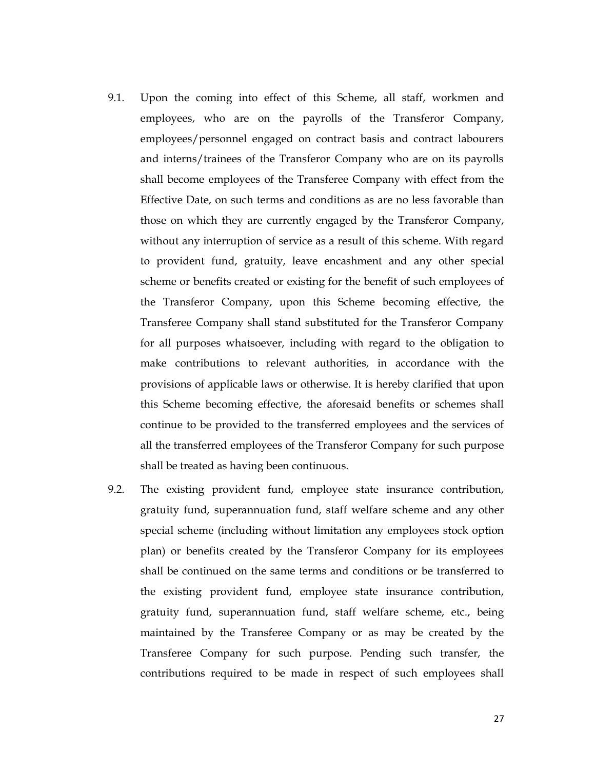- 9.1. Upon the coming into effect of this Scheme, all staff, workmen and employees, who are on the payrolls of the Transferor Company, employees/personnel engaged on contract basis and contract labourers and interns/trainees of the Transferor Company who are on its payrolls shall become employees of the Transferee Company with effect from the Effective Date, on such terms and conditions as are no less favorable than those on which they are currently engaged by the Transferor Company, without any interruption of service as a result of this scheme. With regard to provident fund, gratuity, leave encashment and any other special scheme or benefits created or existing for the benefit of such employees of the Transferor Company, upon this Scheme becoming effective, the Transferee Company shall stand substituted for the Transferor Company for all purposes whatsoever, including with regard to the obligation to make contributions to relevant authorities, in accordance with the provisions of applicable laws or otherwise. It is hereby clarified that upon this Scheme becoming effective, the aforesaid benefits or schemes shall continue to be provided to the transferred employees and the services of all the transferred employees of the Transferor Company for such purpose shall be treated as having been continuous.
- 9.2. The existing provident fund, employee state insurance contribution, gratuity fund, superannuation fund, staff welfare scheme and any other special scheme (including without limitation any employees stock option plan) or benefits created by the Transferor Company for its employees shall be continued on the same terms and conditions or be transferred to the existing provident fund, employee state insurance contribution, gratuity fund, superannuation fund, staff welfare scheme, etc., being maintained by the Transferee Company or as may be created by the Transferee Company for such purpose. Pending such transfer, the contributions required to be made in respect of such employees shall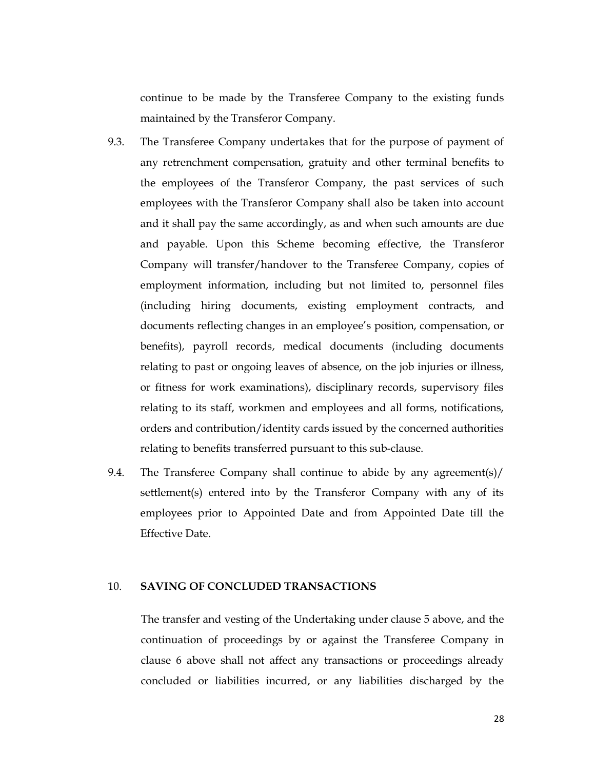continue to be made by the Transferee Company to the existing funds maintained by the Transferor Company.

- 9.3. The Transferee Company undertakes that for the purpose of payment of any retrenchment compensation, gratuity and other terminal benefits to the employees of the Transferor Company, the past services of such employees with the Transferor Company shall also be taken into account and it shall pay the same accordingly, as and when such amounts are due and payable. Upon this Scheme becoming effective, the Transferor Company will transfer/handover to the Transferee Company, copies of employment information, including but not limited to, personnel files (including hiring documents, existing employment contracts, and documents reflecting changes in an employee's position, compensation, or benefits), payroll records, medical documents (including documents relating to past or ongoing leaves of absence, on the job injuries or illness, or fitness for work examinations), disciplinary records, supervisory files relating to its staff, workmen and employees and all forms, notifications, orders and contribution/identity cards issued by the concerned authorities relating to benefits transferred pursuant to this sub-clause.
- 9.4. The Transferee Company shall continue to abide by any agreement(s)/ settlement(s) entered into by the Transferor Company with any of its employees prior to Appointed Date and from Appointed Date till the Effective Date.

### 10. SAVING OF CONCLUDED TRANSACTIONS

The transfer and vesting of the Undertaking under clause 5 above, and the continuation of proceedings by or against the Transferee Company in clause 6 above shall not affect any transactions or proceedings already concluded or liabilities incurred, or any liabilities discharged by the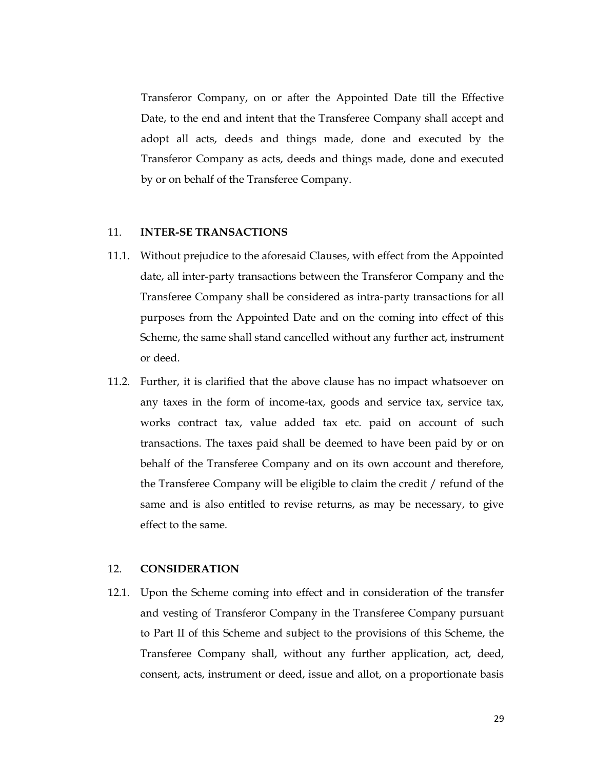Transferor Company, on or after the Appointed Date till the Effective Date, to the end and intent that the Transferee Company shall accept and adopt all acts, deeds and things made, done and executed by the Transferor Company as acts, deeds and things made, done and executed by or on behalf of the Transferee Company.

### 11. INTER-SE TRANSACTIONS

- 11.1. Without prejudice to the aforesaid Clauses, with effect from the Appointed date, all inter-party transactions between the Transferor Company and the Transferee Company shall be considered as intra-party transactions for all purposes from the Appointed Date and on the coming into effect of this Scheme, the same shall stand cancelled without any further act, instrument or deed.
- 11.2. Further, it is clarified that the above clause has no impact whatsoever on any taxes in the form of income-tax, goods and service tax, service tax, works contract tax, value added tax etc. paid on account of such transactions. The taxes paid shall be deemed to have been paid by or on behalf of the Transferee Company and on its own account and therefore, the Transferee Company will be eligible to claim the credit / refund of the same and is also entitled to revise returns, as may be necessary, to give effect to the same.

#### 12. CONSIDERATION

12.1. Upon the Scheme coming into effect and in consideration of the transfer and vesting of Transferor Company in the Transferee Company pursuant to Part II of this Scheme and subject to the provisions of this Scheme, the Transferee Company shall, without any further application, act, deed, consent, acts, instrument or deed, issue and allot, on a proportionate basis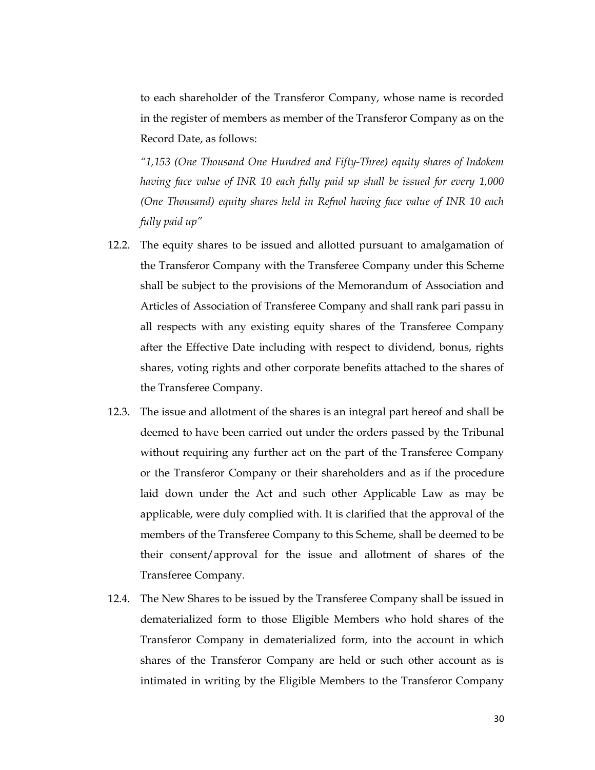to each shareholder of the Transferor Company, whose name is recorded in the register of members as member of the Transferor Company as on the Record Date, as follows:

"1,153 (One Thousand One Hundred and Fifty-Three) equity shares of Indokem having face value of INR 10 each fully paid up shall be issued for every 1,000 (One Thousand) equity shares held in Refnol having face value of INR 10 each fully paid up"

- 12.2. The equity shares to be issued and allotted pursuant to amalgamation of the Transferor Company with the Transferee Company under this Scheme shall be subject to the provisions of the Memorandum of Association and Articles of Association of Transferee Company and shall rank pari passu in all respects with any existing equity shares of the Transferee Company after the Effective Date including with respect to dividend, bonus, rights shares, voting rights and other corporate benefits attached to the shares of the Transferee Company.
- 12.3. The issue and allotment of the shares is an integral part hereof and shall be deemed to have been carried out under the orders passed by the Tribunal without requiring any further act on the part of the Transferee Company or the Transferor Company or their shareholders and as if the procedure laid down under the Act and such other Applicable Law as may be applicable, were duly complied with. It is clarified that the approval of the members of the Transferee Company to this Scheme, shall be deemed to be their consent/approval for the issue and allotment of shares of the Transferee Company.
- 12.4. The New Shares to be issued by the Transferee Company shall be issued in dematerialized form to those Eligible Members who hold shares of the Transferor Company in dematerialized form, into the account in which shares of the Transferor Company are held or such other account as is intimated in writing by the Eligible Members to the Transferor Company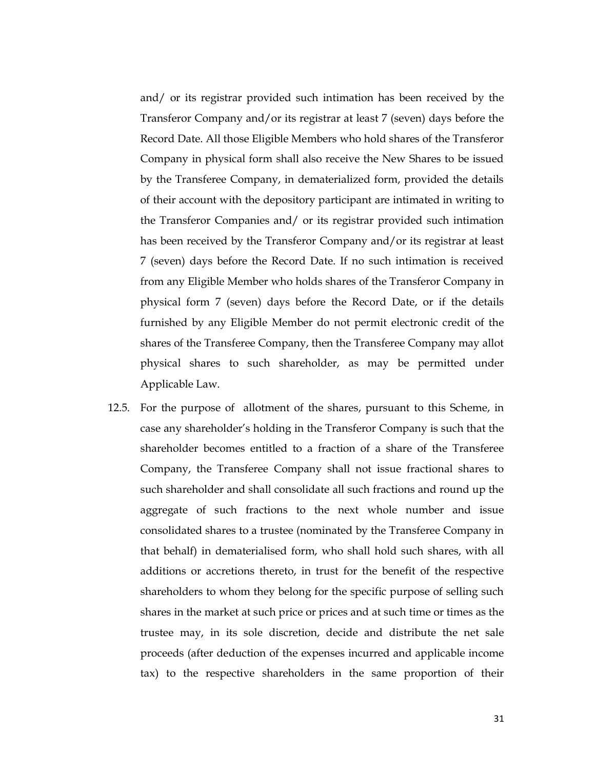and/ or its registrar provided such intimation has been received by the Transferor Company and/or its registrar at least 7 (seven) days before the Record Date. All those Eligible Members who hold shares of the Transferor Company in physical form shall also receive the New Shares to be issued by the Transferee Company, in dematerialized form, provided the details of their account with the depository participant are intimated in writing to the Transferor Companies and/ or its registrar provided such intimation has been received by the Transferor Company and/or its registrar at least 7 (seven) days before the Record Date. If no such intimation is received from any Eligible Member who holds shares of the Transferor Company in physical form 7 (seven) days before the Record Date, or if the details furnished by any Eligible Member do not permit electronic credit of the shares of the Transferee Company, then the Transferee Company may allot physical shares to such shareholder, as may be permitted under Applicable Law.

12.5. For the purpose of allotment of the shares, pursuant to this Scheme, in case any shareholder's holding in the Transferor Company is such that the shareholder becomes entitled to a fraction of a share of the Transferee Company, the Transferee Company shall not issue fractional shares to such shareholder and shall consolidate all such fractions and round up the aggregate of such fractions to the next whole number and issue consolidated shares to a trustee (nominated by the Transferee Company in that behalf) in dematerialised form, who shall hold such shares, with all additions or accretions thereto, in trust for the benefit of the respective shareholders to whom they belong for the specific purpose of selling such shares in the market at such price or prices and at such time or times as the trustee may, in its sole discretion, decide and distribute the net sale proceeds (after deduction of the expenses incurred and applicable income tax) to the respective shareholders in the same proportion of their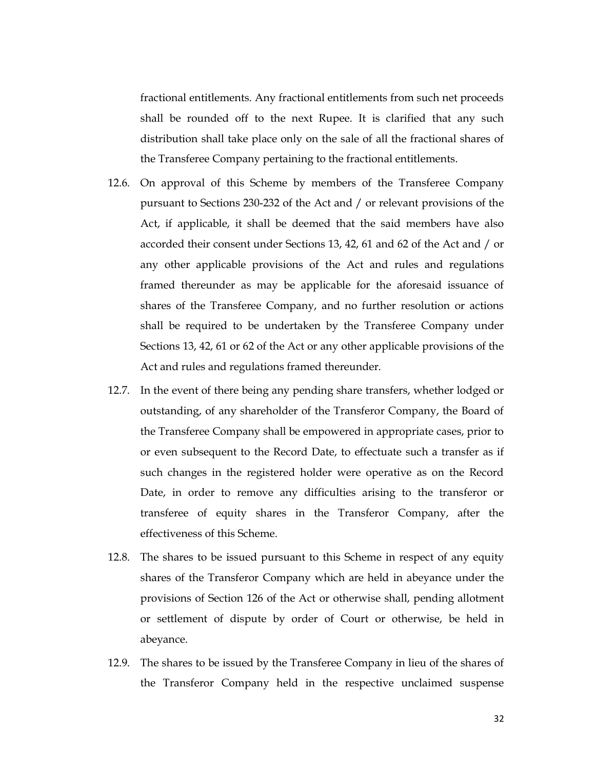fractional entitlements. Any fractional entitlements from such net proceeds shall be rounded off to the next Rupee. It is clarified that any such distribution shall take place only on the sale of all the fractional shares of the Transferee Company pertaining to the fractional entitlements.

- 12.6. On approval of this Scheme by members of the Transferee Company pursuant to Sections 230-232 of the Act and / or relevant provisions of the Act, if applicable, it shall be deemed that the said members have also accorded their consent under Sections 13, 42, 61 and 62 of the Act and / or any other applicable provisions of the Act and rules and regulations framed thereunder as may be applicable for the aforesaid issuance of shares of the Transferee Company, and no further resolution or actions shall be required to be undertaken by the Transferee Company under Sections 13, 42, 61 or 62 of the Act or any other applicable provisions of the Act and rules and regulations framed thereunder.
- 12.7. In the event of there being any pending share transfers, whether lodged or outstanding, of any shareholder of the Transferor Company, the Board of the Transferee Company shall be empowered in appropriate cases, prior to or even subsequent to the Record Date, to effectuate such a transfer as if such changes in the registered holder were operative as on the Record Date, in order to remove any difficulties arising to the transferor or transferee of equity shares in the Transferor Company, after the effectiveness of this Scheme.
- 12.8. The shares to be issued pursuant to this Scheme in respect of any equity shares of the Transferor Company which are held in abeyance under the provisions of Section 126 of the Act or otherwise shall, pending allotment or settlement of dispute by order of Court or otherwise, be held in abeyance.
- 12.9. The shares to be issued by the Transferee Company in lieu of the shares of the Transferor Company held in the respective unclaimed suspense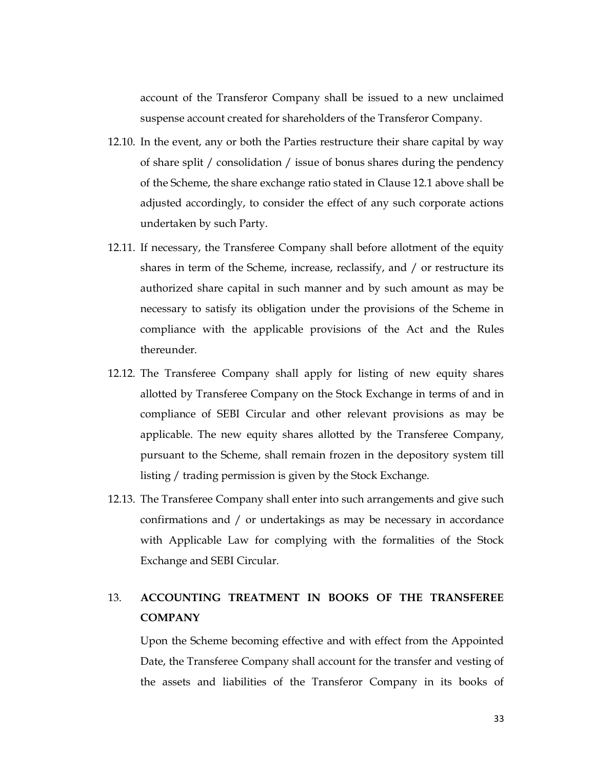account of the Transferor Company shall be issued to a new unclaimed suspense account created for shareholders of the Transferor Company.

- 12.10. In the event, any or both the Parties restructure their share capital by way of share split / consolidation / issue of bonus shares during the pendency of the Scheme, the share exchange ratio stated in Clause 12.1 above shall be adjusted accordingly, to consider the effect of any such corporate actions undertaken by such Party.
- 12.11. If necessary, the Transferee Company shall before allotment of the equity shares in term of the Scheme, increase, reclassify, and / or restructure its authorized share capital in such manner and by such amount as may be necessary to satisfy its obligation under the provisions of the Scheme in compliance with the applicable provisions of the Act and the Rules thereunder.
- 12.12. The Transferee Company shall apply for listing of new equity shares allotted by Transferee Company on the Stock Exchange in terms of and in compliance of SEBI Circular and other relevant provisions as may be applicable. The new equity shares allotted by the Transferee Company, pursuant to the Scheme, shall remain frozen in the depository system till listing / trading permission is given by the Stock Exchange.
- 12.13. The Transferee Company shall enter into such arrangements and give such confirmations and / or undertakings as may be necessary in accordance with Applicable Law for complying with the formalities of the Stock Exchange and SEBI Circular.

# 13. ACCOUNTING TREATMENT IN BOOKS OF THE TRANSFEREE **COMPANY**

Upon the Scheme becoming effective and with effect from the Appointed Date, the Transferee Company shall account for the transfer and vesting of the assets and liabilities of the Transferor Company in its books of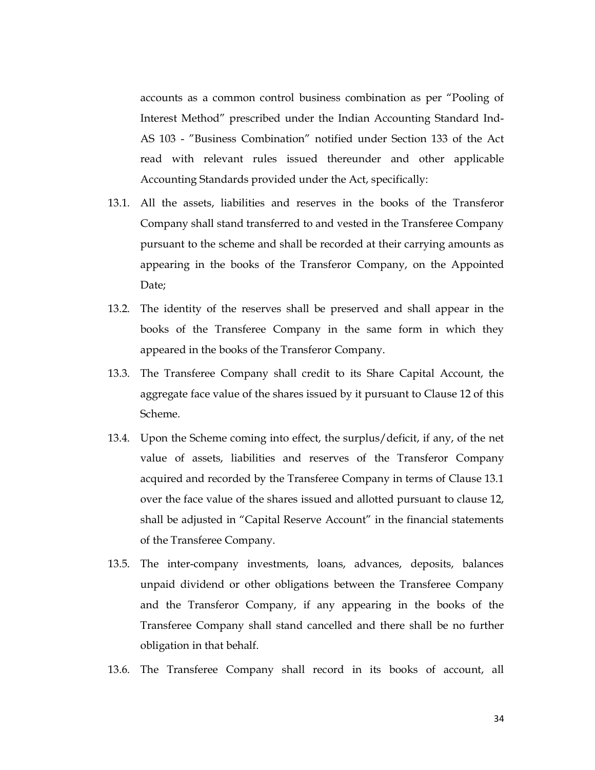accounts as a common control business combination as per "Pooling of Interest Method" prescribed under the Indian Accounting Standard Ind-AS 103 - "Business Combination" notified under Section 133 of the Act read with relevant rules issued thereunder and other applicable Accounting Standards provided under the Act, specifically:

- 13.1. All the assets, liabilities and reserves in the books of the Transferor Company shall stand transferred to and vested in the Transferee Company pursuant to the scheme and shall be recorded at their carrying amounts as appearing in the books of the Transferor Company, on the Appointed Date;
- 13.2. The identity of the reserves shall be preserved and shall appear in the books of the Transferee Company in the same form in which they appeared in the books of the Transferor Company.
- 13.3. The Transferee Company shall credit to its Share Capital Account, the aggregate face value of the shares issued by it pursuant to Clause 12 of this Scheme.
- 13.4. Upon the Scheme coming into effect, the surplus/deficit, if any, of the net value of assets, liabilities and reserves of the Transferor Company acquired and recorded by the Transferee Company in terms of Clause 13.1 over the face value of the shares issued and allotted pursuant to clause 12, shall be adjusted in "Capital Reserve Account" in the financial statements of the Transferee Company.
- 13.5. The inter-company investments, loans, advances, deposits, balances unpaid dividend or other obligations between the Transferee Company and the Transferor Company, if any appearing in the books of the Transferee Company shall stand cancelled and there shall be no further obligation in that behalf.
- 13.6. The Transferee Company shall record in its books of account, all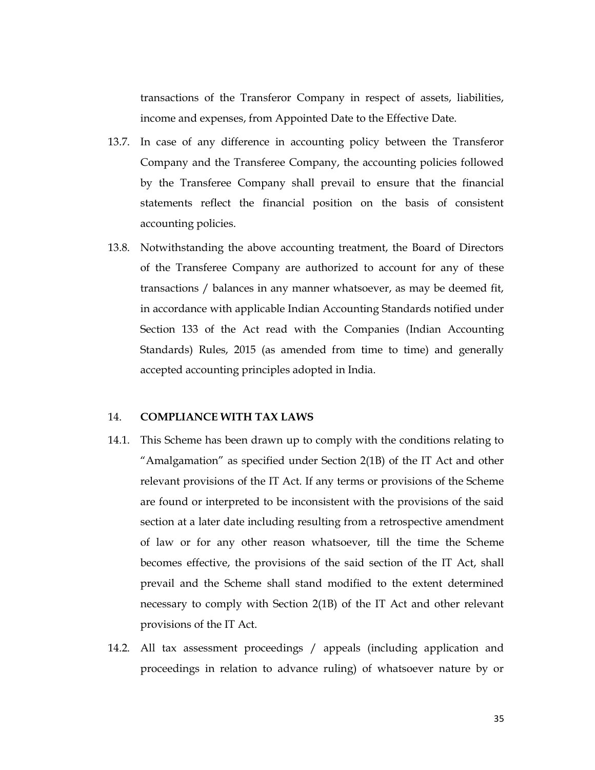transactions of the Transferor Company in respect of assets, liabilities, income and expenses, from Appointed Date to the Effective Date.

- 13.7. In case of any difference in accounting policy between the Transferor Company and the Transferee Company, the accounting policies followed by the Transferee Company shall prevail to ensure that the financial statements reflect the financial position on the basis of consistent accounting policies.
- 13.8. Notwithstanding the above accounting treatment, the Board of Directors of the Transferee Company are authorized to account for any of these transactions / balances in any manner whatsoever, as may be deemed fit, in accordance with applicable Indian Accounting Standards notified under Section 133 of the Act read with the Companies (Indian Accounting Standards) Rules, 2015 (as amended from time to time) and generally accepted accounting principles adopted in India.

### 14. COMPLIANCE WITH TAX LAWS

- 14.1. This Scheme has been drawn up to comply with the conditions relating to "Amalgamation" as specified under Section 2(1B) of the IT Act and other relevant provisions of the IT Act. If any terms or provisions of the Scheme are found or interpreted to be inconsistent with the provisions of the said section at a later date including resulting from a retrospective amendment of law or for any other reason whatsoever, till the time the Scheme becomes effective, the provisions of the said section of the IT Act, shall prevail and the Scheme shall stand modified to the extent determined necessary to comply with Section 2(1B) of the IT Act and other relevant provisions of the IT Act.
- 14.2. All tax assessment proceedings / appeals (including application and proceedings in relation to advance ruling) of whatsoever nature by or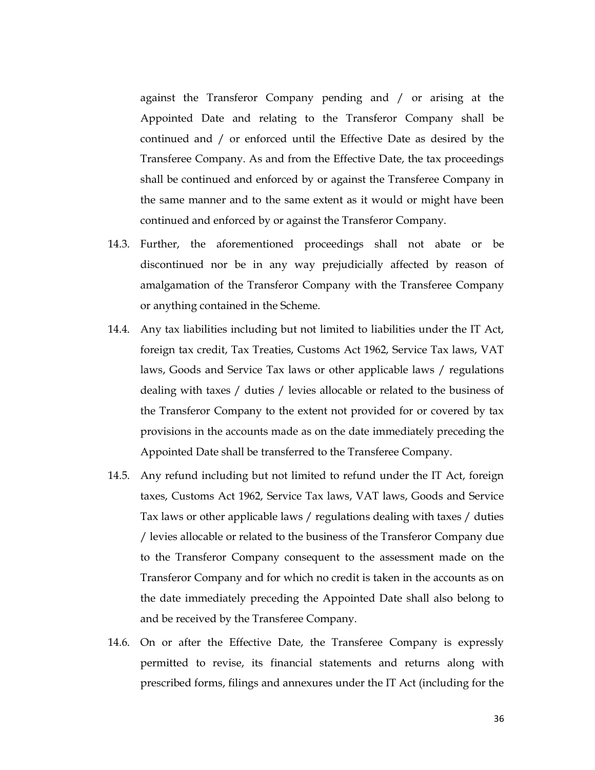against the Transferor Company pending and / or arising at the Appointed Date and relating to the Transferor Company shall be continued and / or enforced until the Effective Date as desired by the Transferee Company. As and from the Effective Date, the tax proceedings shall be continued and enforced by or against the Transferee Company in the same manner and to the same extent as it would or might have been continued and enforced by or against the Transferor Company.

- 14.3. Further, the aforementioned proceedings shall not abate or be discontinued nor be in any way prejudicially affected by reason of amalgamation of the Transferor Company with the Transferee Company or anything contained in the Scheme.
- 14.4. Any tax liabilities including but not limited to liabilities under the IT Act, foreign tax credit, Tax Treaties, Customs Act 1962, Service Tax laws, VAT laws, Goods and Service Tax laws or other applicable laws / regulations dealing with taxes / duties / levies allocable or related to the business of the Transferor Company to the extent not provided for or covered by tax provisions in the accounts made as on the date immediately preceding the Appointed Date shall be transferred to the Transferee Company.
- 14.5. Any refund including but not limited to refund under the IT Act, foreign taxes, Customs Act 1962, Service Tax laws, VAT laws, Goods and Service Tax laws or other applicable laws / regulations dealing with taxes / duties / levies allocable or related to the business of the Transferor Company due to the Transferor Company consequent to the assessment made on the Transferor Company and for which no credit is taken in the accounts as on the date immediately preceding the Appointed Date shall also belong to and be received by the Transferee Company.
- 14.6. On or after the Effective Date, the Transferee Company is expressly permitted to revise, its financial statements and returns along with prescribed forms, filings and annexures under the IT Act (including for the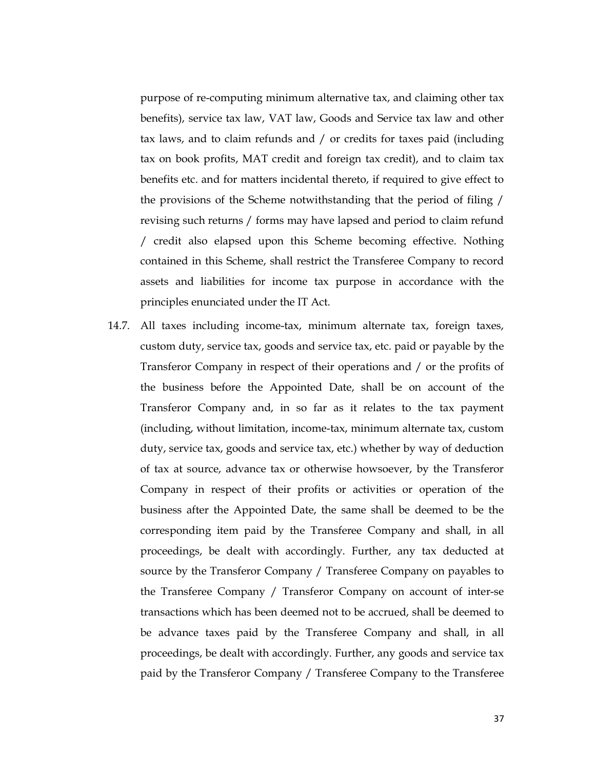purpose of re-computing minimum alternative tax, and claiming other tax benefits), service tax law, VAT law, Goods and Service tax law and other tax laws, and to claim refunds and / or credits for taxes paid (including tax on book profits, MAT credit and foreign tax credit), and to claim tax benefits etc. and for matters incidental thereto, if required to give effect to the provisions of the Scheme notwithstanding that the period of filing / revising such returns / forms may have lapsed and period to claim refund / credit also elapsed upon this Scheme becoming effective. Nothing contained in this Scheme, shall restrict the Transferee Company to record assets and liabilities for income tax purpose in accordance with the principles enunciated under the IT Act.

14.7. All taxes including income-tax, minimum alternate tax, foreign taxes, custom duty, service tax, goods and service tax, etc. paid or payable by the Transferor Company in respect of their operations and / or the profits of the business before the Appointed Date, shall be on account of the Transferor Company and, in so far as it relates to the tax payment (including, without limitation, income-tax, minimum alternate tax, custom duty, service tax, goods and service tax, etc.) whether by way of deduction of tax at source, advance tax or otherwise howsoever, by the Transferor Company in respect of their profits or activities or operation of the business after the Appointed Date, the same shall be deemed to be the corresponding item paid by the Transferee Company and shall, in all proceedings, be dealt with accordingly. Further, any tax deducted at source by the Transferor Company / Transferee Company on payables to the Transferee Company / Transferor Company on account of inter-se transactions which has been deemed not to be accrued, shall be deemed to be advance taxes paid by the Transferee Company and shall, in all proceedings, be dealt with accordingly. Further, any goods and service tax paid by the Transferor Company / Transferee Company to the Transferee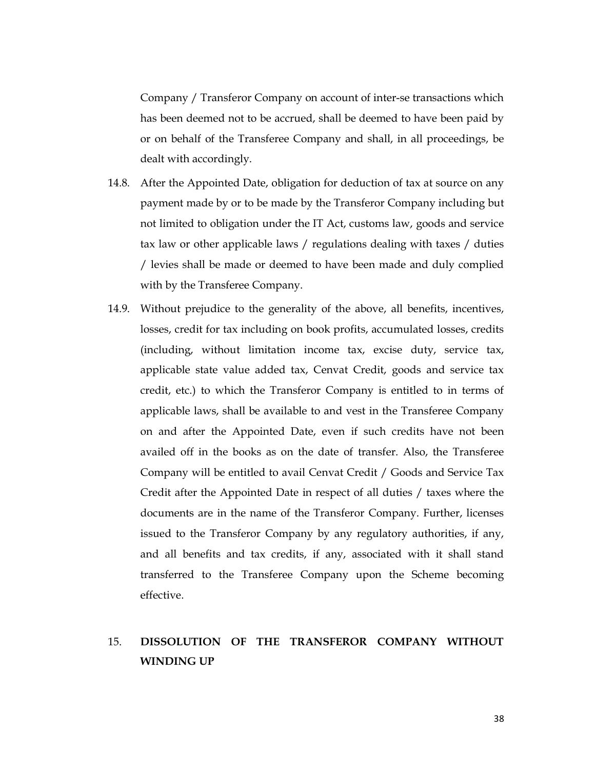Company / Transferor Company on account of inter-se transactions which has been deemed not to be accrued, shall be deemed to have been paid by or on behalf of the Transferee Company and shall, in all proceedings, be dealt with accordingly.

- 14.8. After the Appointed Date, obligation for deduction of tax at source on any payment made by or to be made by the Transferor Company including but not limited to obligation under the IT Act, customs law, goods and service tax law or other applicable laws / regulations dealing with taxes / duties / levies shall be made or deemed to have been made and duly complied with by the Transferee Company.
- 14.9. Without prejudice to the generality of the above, all benefits, incentives, losses, credit for tax including on book profits, accumulated losses, credits (including, without limitation income tax, excise duty, service tax, applicable state value added tax, Cenvat Credit, goods and service tax credit, etc.) to which the Transferor Company is entitled to in terms of applicable laws, shall be available to and vest in the Transferee Company on and after the Appointed Date, even if such credits have not been availed off in the books as on the date of transfer. Also, the Transferee Company will be entitled to avail Cenvat Credit / Goods and Service Tax Credit after the Appointed Date in respect of all duties / taxes where the documents are in the name of the Transferor Company. Further, licenses issued to the Transferor Company by any regulatory authorities, if any, and all benefits and tax credits, if any, associated with it shall stand transferred to the Transferee Company upon the Scheme becoming effective.

# 15. DISSOLUTION OF THE TRANSFEROR COMPANY WITHOUT WINDING UP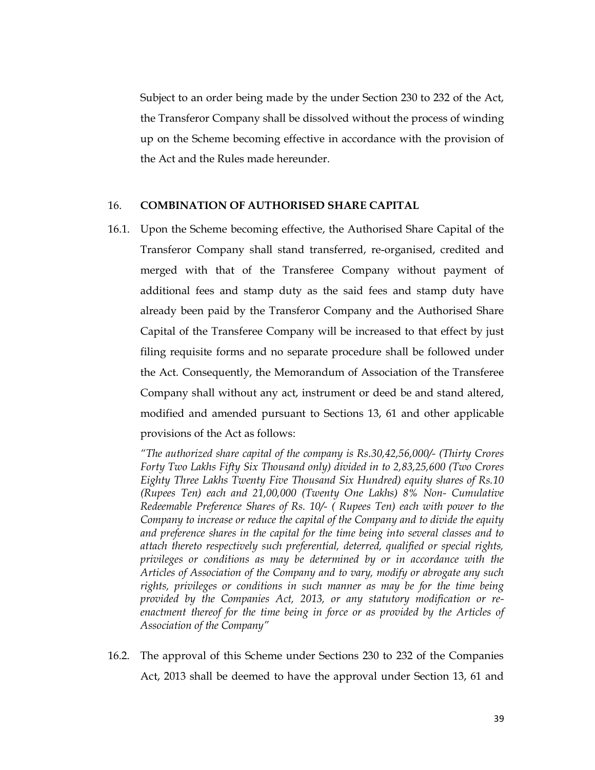Subject to an order being made by the under Section 230 to 232 of the Act, the Transferor Company shall be dissolved without the process of winding up on the Scheme becoming effective in accordance with the provision of the Act and the Rules made hereunder.

## 16. COMBINATION OF AUTHORISED SHARE CAPITAL

16.1. Upon the Scheme becoming effective, the Authorised Share Capital of the Transferor Company shall stand transferred, re-organised, credited and merged with that of the Transferee Company without payment of additional fees and stamp duty as the said fees and stamp duty have already been paid by the Transferor Company and the Authorised Share Capital of the Transferee Company will be increased to that effect by just filing requisite forms and no separate procedure shall be followed under the Act. Consequently, the Memorandum of Association of the Transferee Company shall without any act, instrument or deed be and stand altered, modified and amended pursuant to Sections 13, 61 and other applicable provisions of the Act as follows:

"The authorized share capital of the company is Rs.30,42,56,000/- (Thirty Crores Forty Two Lakhs Fifty Six Thousand only) divided in to 2,83,25,600 (Two Crores Eighty Three Lakhs Twenty Five Thousand Six Hundred) equity shares of Rs.10 (Rupees Ten) each and 21,00,000 (Twenty One Lakhs) 8% Non- Cumulative Redeemable Preference Shares of Rs. 10/- ( Rupees Ten) each with power to the Company to increase or reduce the capital of the Company and to divide the equity and preference shares in the capital for the time being into several classes and to attach thereto respectively such preferential, deterred, qualified or special rights, privileges or conditions as may be determined by or in accordance with the Articles of Association of the Company and to vary, modify or abrogate any such rights, privileges or conditions in such manner as may be for the time being provided by the Companies Act, 2013, or any statutory modification or reenactment thereof for the time being in force or as provided by the Articles of Association of the Company"

16.2. The approval of this Scheme under Sections 230 to 232 of the Companies Act, 2013 shall be deemed to have the approval under Section 13, 61 and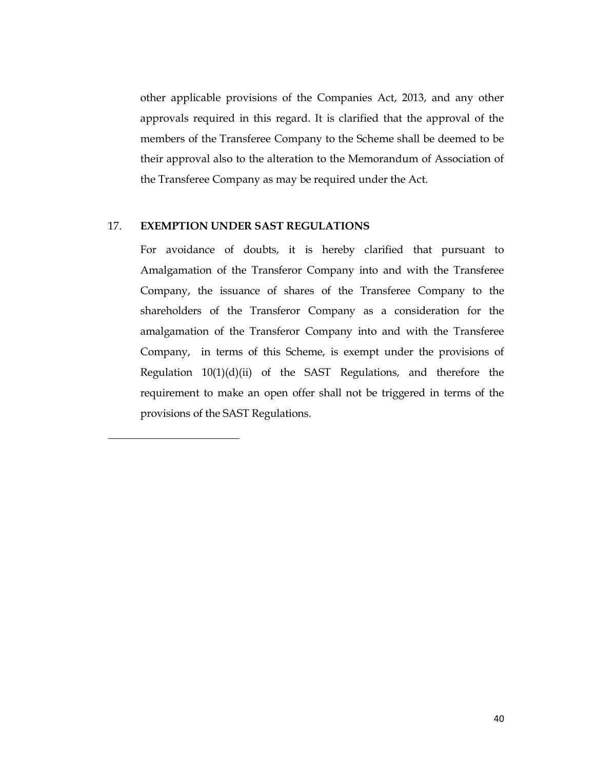other applicable provisions of the Companies Act, 2013, and any other approvals required in this regard. It is clarified that the approval of the members of the Transferee Company to the Scheme shall be deemed to be their approval also to the alteration to the Memorandum of Association of the Transferee Company as may be required under the Act.

# 17. EXEMPTION UNDER SAST REGULATIONS

For avoidance of doubts, it is hereby clarified that pursuant to Amalgamation of the Transferor Company into and with the Transferee Company, the issuance of shares of the Transferee Company to the shareholders of the Transferor Company as a consideration for the amalgamation of the Transferor Company into and with the Transferee Company, in terms of this Scheme, is exempt under the provisions of Regulation  $10(1)(d)(ii)$  of the SAST Regulations, and therefore the requirement to make an open offer shall not be triggered in terms of the provisions of the SAST Regulations.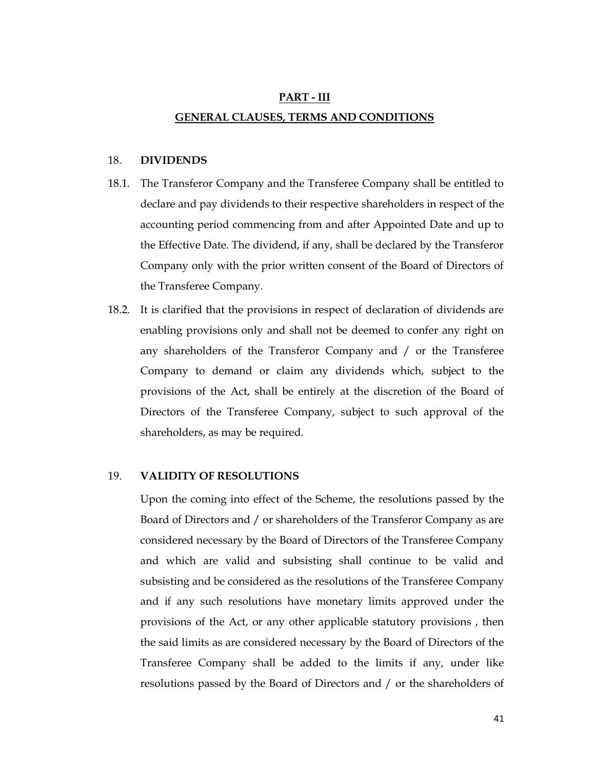# PART - III GENERAL CLAUSES, TERMS AND CONDITIONS

#### 18. DIVIDENDS

- 18.1. The Transferor Company and the Transferee Company shall be entitled to declare and pay dividends to their respective shareholders in respect of the accounting period commencing from and after Appointed Date and up to the Effective Date. The dividend, if any, shall be declared by the Transferor Company only with the prior written consent of the Board of Directors of the Transferee Company.
- 18.2. It is clarified that the provisions in respect of declaration of dividends are enabling provisions only and shall not be deemed to confer any right on any shareholders of the Transferor Company and / or the Transferee Company to demand or claim any dividends which, subject to the provisions of the Act, shall be entirely at the discretion of the Board of Directors of the Transferee Company, subject to such approval of the shareholders, as may be required.

#### 19. VALIDITY OF RESOLUTIONS

Upon the coming into effect of the Scheme, the resolutions passed by the Board of Directors and / or shareholders of the Transferor Company as are considered necessary by the Board of Directors of the Transferee Company and which are valid and subsisting shall continue to be valid and subsisting and be considered as the resolutions of the Transferee Company and if any such resolutions have monetary limits approved under the provisions of the Act, or any other applicable statutory provisions , then the said limits as are considered necessary by the Board of Directors of the Transferee Company shall be added to the limits if any, under like resolutions passed by the Board of Directors and / or the shareholders of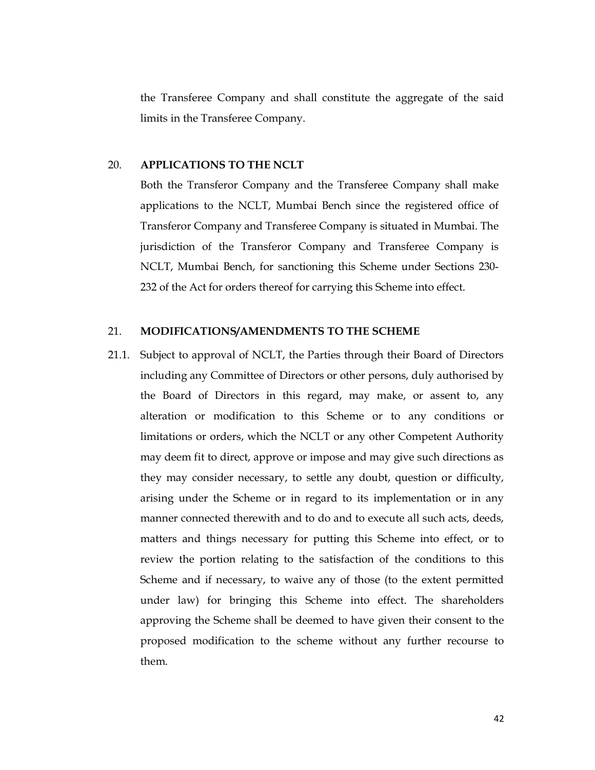the Transferee Company and shall constitute the aggregate of the said limits in the Transferee Company.

#### 20. APPLICATIONS TO THE NCLT

Both the Transferor Company and the Transferee Company shall make applications to the NCLT, Mumbai Bench since the registered office of Transferor Company and Transferee Company is situated in Mumbai. The jurisdiction of the Transferor Company and Transferee Company is NCLT, Mumbai Bench, for sanctioning this Scheme under Sections 230- 232 of the Act for orders thereof for carrying this Scheme into effect.

### 21. MODIFICATIONS/AMENDMENTS TO THE SCHEME

21.1. Subject to approval of NCLT, the Parties through their Board of Directors including any Committee of Directors or other persons, duly authorised by the Board of Directors in this regard, may make, or assent to, any alteration or modification to this Scheme or to any conditions or limitations or orders, which the NCLT or any other Competent Authority may deem fit to direct, approve or impose and may give such directions as they may consider necessary, to settle any doubt, question or difficulty, arising under the Scheme or in regard to its implementation or in any manner connected therewith and to do and to execute all such acts, deeds, matters and things necessary for putting this Scheme into effect, or to review the portion relating to the satisfaction of the conditions to this Scheme and if necessary, to waive any of those (to the extent permitted under law) for bringing this Scheme into effect. The shareholders approving the Scheme shall be deemed to have given their consent to the proposed modification to the scheme without any further recourse to them.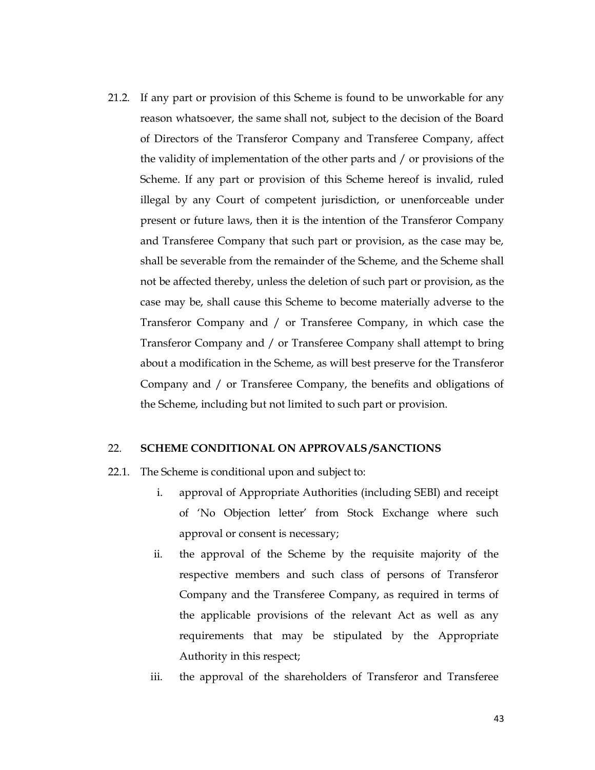21.2. If any part or provision of this Scheme is found to be unworkable for any reason whatsoever, the same shall not, subject to the decision of the Board of Directors of the Transferor Company and Transferee Company, affect the validity of implementation of the other parts and / or provisions of the Scheme. If any part or provision of this Scheme hereof is invalid, ruled illegal by any Court of competent jurisdiction, or unenforceable under present or future laws, then it is the intention of the Transferor Company and Transferee Company that such part or provision, as the case may be, shall be severable from the remainder of the Scheme, and the Scheme shall not be affected thereby, unless the deletion of such part or provision, as the case may be, shall cause this Scheme to become materially adverse to the Transferor Company and / or Transferee Company, in which case the Transferor Company and / or Transferee Company shall attempt to bring about a modification in the Scheme, as will best preserve for the Transferor Company and / or Transferee Company, the benefits and obligations of the Scheme, including but not limited to such part or provision.

## 22. SCHEME CONDITIONAL ON APPROVALS /SANCTIONS

- 22.1. The Scheme is conditional upon and subject to:
	- i. approval of Appropriate Authorities (including SEBI) and receipt of 'No Objection letter' from Stock Exchange where such approval or consent is necessary;
	- ii. the approval of the Scheme by the requisite majority of the respective members and such class of persons of Transferor Company and the Transferee Company, as required in terms of the applicable provisions of the relevant Act as well as any requirements that may be stipulated by the Appropriate Authority in this respect;
	- iii. the approval of the shareholders of Transferor and Transferee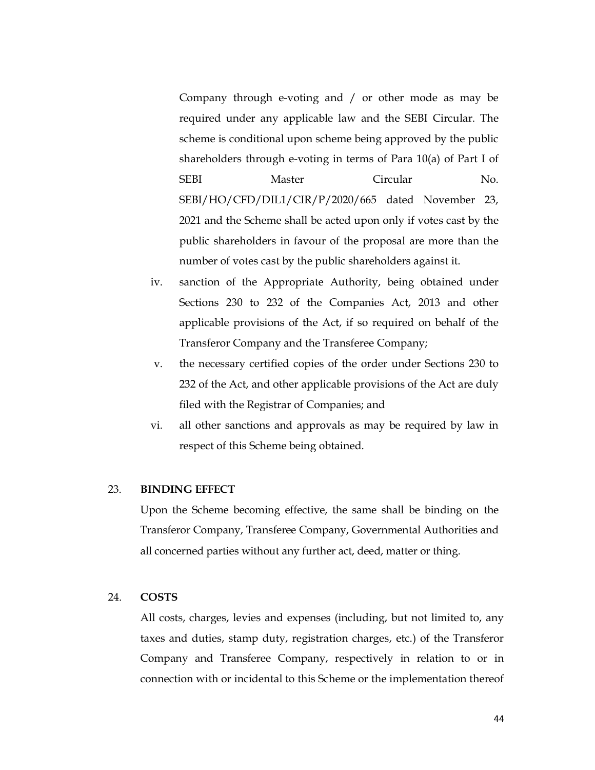Company through e-voting and / or other mode as may be required under any applicable law and the SEBI Circular. The scheme is conditional upon scheme being approved by the public shareholders through e-voting in terms of Para 10(a) of Part I of SEBI Master Circular No. SEBI/HO/CFD/DIL1/CIR/P/2020/665 dated November 23, 2021 and the Scheme shall be acted upon only if votes cast by the public shareholders in favour of the proposal are more than the number of votes cast by the public shareholders against it.

- iv. sanction of the Appropriate Authority, being obtained under Sections 230 to 232 of the Companies Act, 2013 and other applicable provisions of the Act, if so required on behalf of the Transferor Company and the Transferee Company;
- v. the necessary certified copies of the order under Sections 230 to 232 of the Act, and other applicable provisions of the Act are duly filed with the Registrar of Companies; and
- vi. all other sanctions and approvals as may be required by law in respect of this Scheme being obtained.

### 23. BINDING EFFECT

Upon the Scheme becoming effective, the same shall be binding on the Transferor Company, Transferee Company, Governmental Authorities and all concerned parties without any further act, deed, matter or thing.

### 24. COSTS

All costs, charges, levies and expenses (including, but not limited to, any taxes and duties, stamp duty, registration charges, etc.) of the Transferor Company and Transferee Company, respectively in relation to or in connection with or incidental to this Scheme or the implementation thereof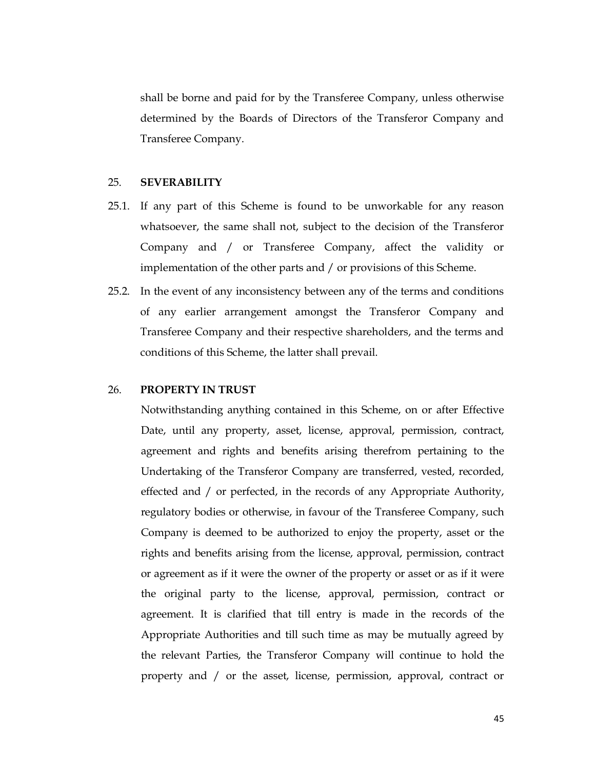shall be borne and paid for by the Transferee Company, unless otherwise determined by the Boards of Directors of the Transferor Company and Transferee Company.

#### 25. SEVERABILITY

- 25.1. If any part of this Scheme is found to be unworkable for any reason whatsoever, the same shall not, subject to the decision of the Transferor Company and / or Transferee Company, affect the validity or implementation of the other parts and / or provisions of this Scheme.
- 25.2. In the event of any inconsistency between any of the terms and conditions of any earlier arrangement amongst the Transferor Company and Transferee Company and their respective shareholders, and the terms and conditions of this Scheme, the latter shall prevail.

#### 26. PROPERTY IN TRUST

Notwithstanding anything contained in this Scheme, on or after Effective Date, until any property, asset, license, approval, permission, contract, agreement and rights and benefits arising therefrom pertaining to the Undertaking of the Transferor Company are transferred, vested, recorded, effected and / or perfected, in the records of any Appropriate Authority, regulatory bodies or otherwise, in favour of the Transferee Company, such Company is deemed to be authorized to enjoy the property, asset or the rights and benefits arising from the license, approval, permission, contract or agreement as if it were the owner of the property or asset or as if it were the original party to the license, approval, permission, contract or agreement. It is clarified that till entry is made in the records of the Appropriate Authorities and till such time as may be mutually agreed by the relevant Parties, the Transferor Company will continue to hold the property and / or the asset, license, permission, approval, contract or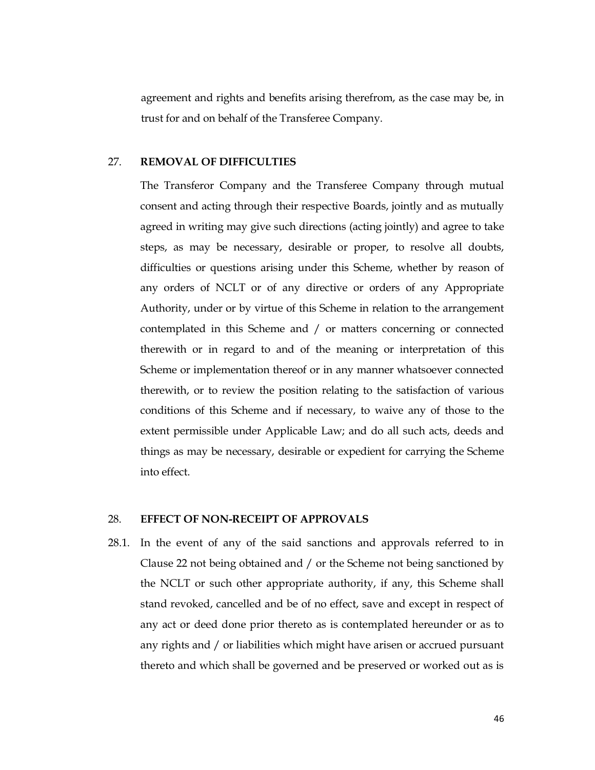agreement and rights and benefits arising therefrom, as the case may be, in trust for and on behalf of the Transferee Company.

### 27. REMOVAL OF DIFFICULTIES

The Transferor Company and the Transferee Company through mutual consent and acting through their respective Boards, jointly and as mutually agreed in writing may give such directions (acting jointly) and agree to take steps, as may be necessary, desirable or proper, to resolve all doubts, difficulties or questions arising under this Scheme, whether by reason of any orders of NCLT or of any directive or orders of any Appropriate Authority, under or by virtue of this Scheme in relation to the arrangement contemplated in this Scheme and / or matters concerning or connected therewith or in regard to and of the meaning or interpretation of this Scheme or implementation thereof or in any manner whatsoever connected therewith, or to review the position relating to the satisfaction of various conditions of this Scheme and if necessary, to waive any of those to the extent permissible under Applicable Law; and do all such acts, deeds and things as may be necessary, desirable or expedient for carrying the Scheme into effect.

#### 28. EFFECT OF NON-RECEIPT OF APPROVALS

28.1. In the event of any of the said sanctions and approvals referred to in Clause 22 not being obtained and / or the Scheme not being sanctioned by the NCLT or such other appropriate authority, if any, this Scheme shall stand revoked, cancelled and be of no effect, save and except in respect of any act or deed done prior thereto as is contemplated hereunder or as to any rights and / or liabilities which might have arisen or accrued pursuant thereto and which shall be governed and be preserved or worked out as is